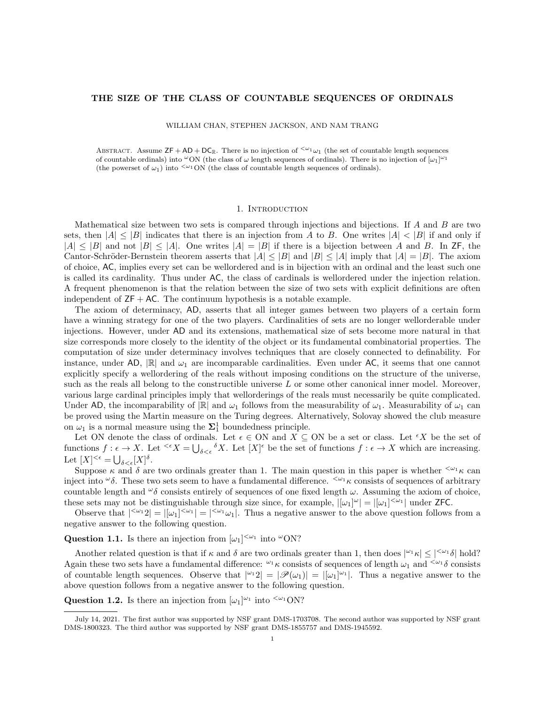## THE SIZE OF THE CLASS OF COUNTABLE SEQUENCES OF ORDINALS

WILLIAM CHAN, STEPHEN JACKSON, AND NAM TRANG

ABSTRACT. Assume  $\mathsf{ZF} + \mathsf{AD} + \mathsf{DC}_{\mathbb{R}}$ . There is no injection of  $\leq \omega_1 \omega_1$  (the set of countable length sequences of countable ordinals) into  $\omega$ ON (the class of  $\omega$  length sequences of ordinals). There is no injection of  $[\omega_1]^{\omega_1}$ (the powerset of  $\omega_1$ ) into  $\frac{<\omega_1}{\omega_1}$  (the class of countable length sequences of ordinals).

### 1. INTRODUCTION

Mathematical size between two sets is compared through injections and bijections. If  $A$  and  $B$  are two sets, then  $|A| \leq |B|$  indicates that there is an injection from A to B. One writes  $|A| < |B|$  if and only if  $|A| \leq |B|$  and not  $|B| \leq |A|$ . One writes  $|A| = |B|$  if there is a bijection between A and B. In ZF, the Cantor-Schröder-Bernstein theorem asserts that  $|A| \leq |B|$  and  $|B| \leq |A|$  imply that  $|A| = |B|$ . The axiom of choice, AC, implies every set can be wellordered and is in bijection with an ordinal and the least such one is called its cardinality. Thus under AC, the class of cardinals is wellordered under the injection relation. A frequent phenomenon is that the relation between the size of two sets with explicit definitions are often independent of  $ZF + AC$ . The continuum hypothesis is a notable example.

The axiom of determinacy, AD, asserts that all integer games between two players of a certain form have a winning strategy for one of the two players. Cardinalities of sets are no longer wellorderable under injections. However, under AD and its extensions, mathematical size of sets become more natural in that size corresponds more closely to the identity of the object or its fundamental combinatorial properties. The computation of size under determinacy involves techniques that are closely connected to definability. For instance, under AD,  $\mathbb{R}$  and  $\omega_1$  are incomparable cardinalities. Even under AC, it seems that one cannot explicitly specify a wellordering of the reals without imposing conditions on the structure of the universe, such as the reals all belong to the constructible universe L or some other canonical inner model. Moreover, various large cardinal principles imply that wellorderings of the reals must necessarily be quite complicated. Under AD, the incomparability of  $\mathbb{R}$  and  $\omega_1$  follows from the measurability of  $\omega_1$ . Measurability of  $\omega_1$  can be proved using the Martin measure on the Turing degrees. Alternatively, Solovay showed the club measure on  $\omega_1$  is a normal measure using the  $\Sigma_1^1$  boundedness principle.

Let ON denote the class of ordinals. Let  $\epsilon \in \text{ON}$  and  $X \subseteq \text{ON}$  be a set or class. Let  $\epsilon X$  be the set of functions  $f: \epsilon \to X$ . Let  $\leq^{\epsilon} X = \bigcup_{\delta \leq \epsilon} \delta X$ . Let  $[X]^{\epsilon}$  be the set of functions  $f: \epsilon \to X$  which are increasing. Let  $[X]^{<\epsilon} = \bigcup_{\delta < \epsilon} [X]^{\delta}$ .

Suppose  $\kappa$  and  $\delta$  are two ordinals greater than 1. The main question in this paper is whether  $\zeta^{\omega_1} \kappa$  can inject into  $\omega_{\delta}$ . These two sets seem to have a fundamental difference.  $\zeta_{\omega}$  k consists of sequences of arbitrary countable length and  $\omega_{\delta}$  consists entirely of sequences of one fixed length  $\omega$ . Assuming the axiom of choice, these sets may not be distinguishable through size since, for example,  $|[\omega_1]^{\omega}| = |[\omega_1]^{<\omega_1}|$  under ZFC.

Observe that  $|z^2 - 2| = |z^2 - 2z - 1|$ . Thus a negative answer to the above question follows from a negative answer to the following question.

<span id="page-0-0"></span>Question 1.1. Is there an injection from  $[\omega_1]^{<\omega_1}$  into  $\omega$ ON?

Another related question is that if  $\kappa$  and  $\delta$  are two ordinals greater than 1, then does  $|^{\omega_1}\kappa| \leq |^{<\omega_1}\delta|$  hold? Again these two sets have a fundamental difference:  $\omega_1 \kappa$  consists of sequences of length  $\omega_1$  and  $\zeta_1$  and  $\zeta_2$ of countable length sequences. Observe that  $|{}^{\omega_1}2| = |\mathscr{P}(\omega_1)| = |[\omega_1]^{\omega_1}|$ . Thus a negative answer to the above question follows from a negative answer to the following question.

**Question 1.2.** Is there an injection from  $[\omega_1]^{\omega_1}$  into  $\langle \omega_1 \text{ON} \rangle$ 

July 14, 2021. The first author was supported by NSF grant DMS-1703708. The second author was supported by NSF grant DMS-1800323. The third author was supported by NSF grant DMS-1855757 and DMS-1945592.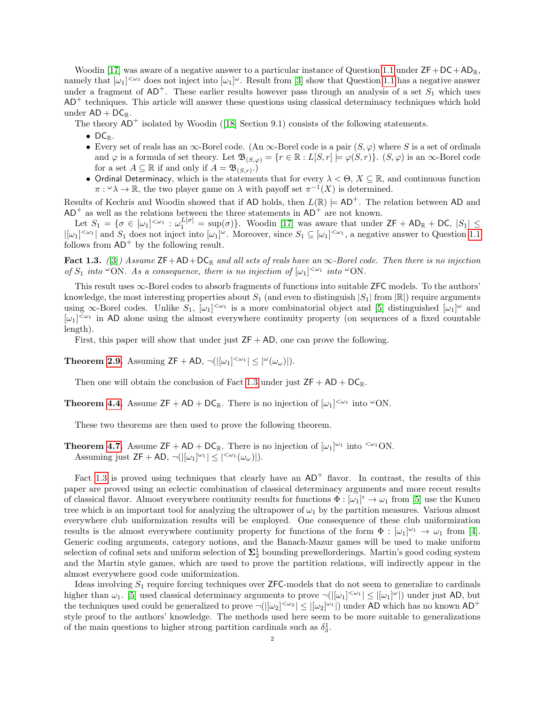Woodin [\[17\]](#page-13-0) was aware of a negative answer to a particular instance of Question [1.1](#page-0-0) under  $ZF+DC+AD_{\mathbb{R}}$ , namely that  $[\omega_1]^{<\omega_1}$  does not inject into  $[\omega_1]^\omega$ . Result from [\[3\]](#page-12-0) show that Question [1.1](#page-0-0) has a negative answer under a fragment of  $AD^+$ . These earlier results however pass through an analysis of a set  $S_1$  which uses  $AD<sup>+</sup>$  techniques. This article will answer these questions using classical determinacy techniques which hold under  $AD + DC_{\mathbb{R}}$ .

Thetheory  $AD^+$  isolated by Woodin ([\[18\]](#page-13-1) Section 9.1) consists of the following statements.

- $\bullet$  DC<sub>R</sub>.
- Every set of reals has an  $\infty$ -Borel code. (An  $\infty$ -Borel code is a pair  $(S, \varphi)$  where S is a set of ordinals and  $\varphi$  is a formula of set theory. Let  $\mathfrak{B}_{(S,\varphi)} = \{r \in \mathbb{R} : L[S,r] \models \varphi(S,r)\}\$ .  $(S,\varphi)$  is an  $\infty$ -Borel code for a set  $A \subseteq \mathbb{R}$  if and only if  $A = \mathfrak{B}_{(S,r)}$ .
- Ordinal Determinacy, which is the statements that for every  $\lambda < \Theta$ ,  $X \subseteq \mathbb{R}$ , and continuous function  $\pi: \omega \lambda \to \mathbb{R}$ , the two player game on  $\lambda$  with payoff set  $\pi^{-1}(X)$  is determined.

Results of Kechris and Woodin showed that if AD holds, then  $L(\mathbb{R}) \models AD^+$ . The relation between AD and  $AD^+$  as well as the relations between the three statements in  $AD^+$  are not known.

Let  $S_1 = \{ \sigma \in [\omega_1]^{<\omega_1} : \omega_1^{L[\sigma]} = \sup(\sigma) \}.$  Woodin [\[17\]](#page-13-0) was aware that under  $\mathsf{ZF} + \mathsf{AD}_\mathbb{R} + \mathsf{DC}, |S_1| \leq$  $|[\omega_1]^{<\omega_1}|$  and  $S_1$  does not inject into  $[\omega_1]^\omega$ . Moreover, since  $S_1 \subseteq [\omega_1]^{<\omega_1}$ , a negative answer to Question [1.1](#page-0-0) follows from  $AD^+$  by the following result.

<span id="page-1-0"></span>Fact 1.3. ([\[3\]](#page-12-0)) Assume  $\text{ZF}+\text{AD}+\text{DC}_\mathbb{R}$  and all sets of reals have an  $\infty$ -Borel code. Then there is no injection of  $S_1$  into  $\infty$ ON. As a consequence, there is no injection of  $[\omega_1]^{<\omega_1}$  into  $\infty$ ON.

This result uses ∞-Borel codes to absorb fragments of functions into suitable ZFC models. To the authors' knowledge, the most interesting properties about  $S_1$  (and even to distinguish  $|S_1|$  from  $\mathbb{R}|$ ) require arguments using  $\infty$ -Borel codes. Unlike  $S_1$ ,  $[\omega_1]^{<\omega_1}$  is a more combinatorial object and [\[5\]](#page-12-1) distinguished  $[\omega_1]^\omega$  and  $[\omega_1]^{<\omega_1}$  in AD alone using the almost everywhere continuity property (on sequences of a fixed countable length).

First, this paper will show that under just  $ZF + AD$ , one can prove the following.

**Theorem [2.9.](#page-4-0)** Assuming  $ZF + AD$ ,  $\neg(|[\omega_1]^{<\omega_1}] \leq |\omega(\omega_\omega)|$ .

Then one will obtain the conclusion of Fact [1.3](#page-1-0) under just  $ZF + AD + DC_R$ .

**Theorem [4.4.](#page-10-0)** Assume  $ZF + AD + DC_R$ . There is no injection of  $[\omega_1]^{<\omega_1}$  into  $\omega$ ON.

These two theorems are then used to prove the following theorem.

**Theorem [4.7.](#page-12-2)** Assume  $ZF + AD + DC_{\mathbb{R}}$ . There is no injection of  $[\omega_1]^{\omega_1}$  into  $\langle \omega_1 \rangle$ ON. Assuming just  $ZF + AD$ ,  $\neg(|[\omega_1]^{\omega_1}| \leq |\langle \omega_1(\omega_\omega)| \rangle$ .

Fact [1.3](#page-1-0) is proved using techniques that clearly have an  $AD^+$  flavor. In contrast, the results of this paper are proved using an eclectic combination of classical determinacy arguments and more recent results of classical flavor. Almost everywhere continuity results for functions  $\Phi : [\omega_1]^{\epsilon} \to \omega_1$  from [\[5\]](#page-12-1) use the Kunen tree which is an important tool for analyzing the ultrapower of  $\omega_1$  by the partition measures. Various almost everywhere club uniformization results will be employed. One consequence of these club uniformization results is the almost everywhere continuity property for functions of the form  $\Phi : [\omega_1]^{\omega_1} \to \omega_1$  from [\[4\]](#page-12-3). Generic coding arguments, category notions, and the Banach-Mazur games will be used to make uniform selection of cofinal sets and uniform selection of  $\Sigma^1_2$  bounding prewellorderings. Martin's good coding system and the Martin style games, which are used to prove the partition relations, will indirectly appear in the almost everywhere good code uniformization.

Ideas involving  $S_1$  require forcing techniques over **ZFC**-models that do not seem to generalize to cardinals higher than  $\omega_1$ . [\[5\]](#page-12-1) used classical determinacy arguments to prove  $\neg(|[\omega_1]^{<\omega_1}] \leq |[\omega_1]^{<\omega}|$  under just AD, but the techniques used could be generalized to prove  $\neg(|[\omega_2]^{<\omega_2}] \leq |[\omega_2]^{\omega_1}|$  under AD which has no known AD<sup>+</sup> style proof to the authors' knowledge. The methods used here seem to be more suitable to generalizations of the main questions to higher strong partition cardinals such as  $\delta_3^1$ .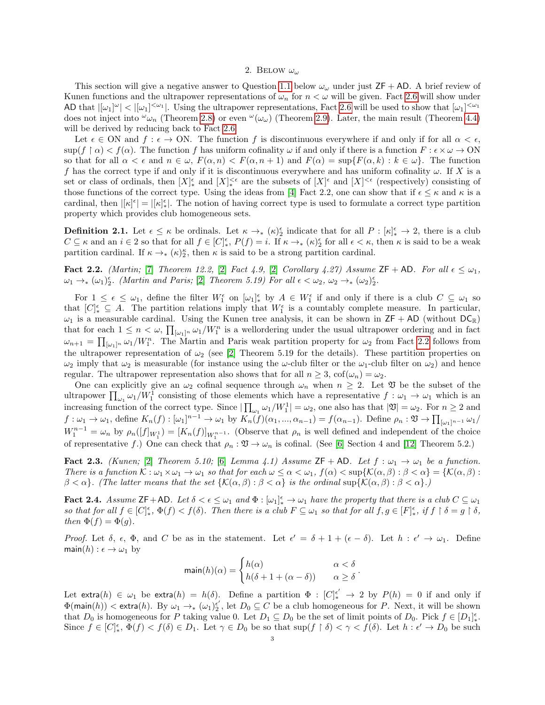### 2. BELOW  $\omega_{\omega}$

This section will give a negative answer to Question [1.1](#page-0-0) below  $\omega_{\omega}$  under just  $ZF + AD$ . A brief review of Kunen functions and the ultrapower representations of  $\omega_n$  for  $n < \omega$  will be given. Fact [2.6](#page-3-0) will show under AD that  $|[\omega_1]^{\omega}| < |[\omega_1]^{<\omega_1}|$ . Using the ultrapower representations, Fact [2.6](#page-3-0) will be used to show that  $[\omega_1]^{<\omega_1}$ does not inject into  $\omega_{\omega_n}$  (Theorem [2.8\)](#page-4-1) or even  $\omega(\omega_\omega)$  (Theorem [2.9\)](#page-4-0). Later, the main result (Theorem [4.4\)](#page-10-0) will be derived by reducing back to Fact [2.6.](#page-3-0)

Let  $\epsilon \in \text{ON}$  and  $f : \epsilon \to \text{ON}$ . The function f is discontinuous everywhere if and only if for all  $\alpha < \epsilon$ .  $\sup(f \restriction \alpha) < f(\alpha)$ . The function f has uniform cofinality  $\omega$  if and only if there is a function  $F : \epsilon \times \omega \to ON$ so that for all  $\alpha < \epsilon$  and  $n \in \omega$ ,  $F(\alpha, n) < F(\alpha, n + 1)$  and  $F(\alpha) = \sup\{F(\alpha, k) : k \in \omega\}$ . The function f has the correct type if and only if it is discontinuous everywhere and has uniform cofinality  $\omega$ . If X is a set or class of ordinals, then  $[X]_{*}^{\epsilon}$  and  $[X]_{*}^{<\epsilon}$  are the subsets of  $[X]^{\epsilon}$  and  $[X]^{<\epsilon}$  (respectively) consisting of those functions of the correct type. Using the ideas from [\[4\]](#page-12-3) Fact 2.2, one can show that if  $\epsilon \leq \kappa$  and  $\kappa$  is a cardinal, then  $|[\kappa]^\epsilon| = |[\kappa]_*^\epsilon|$ . The notion of having correct type is used to formulate a correct type partition property which provides club homogeneous sets.

**Definition 2.1.** Let  $\epsilon \leq \kappa$  be ordinals. Let  $\kappa \to_{\ast} (\kappa)_{2}^{\epsilon}$  indicate that for all  $P: [\kappa]_{\ast}^{\epsilon} \to 2$ , there is a club  $C \subseteq \kappa$  and an  $i \in \{2\}$  so that for all  $f \in [C]_*^{\epsilon}$ ,  $P(f) = i$ . If  $\kappa \to_{*} (\kappa)_{2}^{\epsilon}$  for all  $\epsilon < \kappa$ , then  $\kappa$  is said to be a weak partition cardinal. If  $\kappa \to_{*} (\kappa)_{2}^{\kappa}$ , then  $\kappa$  is said to be a strong partition cardinal.

<span id="page-2-0"></span>**Fact 2.2.** (Martin; [\[7\]](#page-12-4) Theorem 12.2, [\[2\]](#page-12-5) Fact 4.9, [2] Corollary 4.27) Assume ZF + AD. For all  $\epsilon \leq \omega_1$ ,  $\omega_1 \rightarrow_* (\omega_1)_{2}^{\epsilon}$ . (Martin and Paris; [\[2\]](#page-12-5) Theorem 5.19) For all  $\epsilon < \omega_2$ ,  $\omega_2 \rightarrow_* (\omega_2)_{2}^{\epsilon}$ .

For  $1 \leq \epsilon \leq \omega_1$ , define the filter  $W_1^{\epsilon}$  on  $[\omega_1]_{*}^{\epsilon}$  by  $A \in W_1^{\epsilon}$  if and only if there is a club  $C \subseteq \omega_1$  so that  $[C]_{*}^{\epsilon} \subseteq A$ . The partition relations imply that  $W_{1}^{\epsilon}$  is a countably complete measure. In particular,  $\omega_1$  is a measurable cardinal. Using the Kunen tree analysis, it can be shown in  $\mathsf{ZF} + \mathsf{AD}$  (without  $\mathsf{DC}_\mathbb{R}$ ) that for each  $1 \leq n < \omega$ ,  $\prod_{[\omega_1]^n} \omega_1/W_1^n$  is a wellordering under the usual ultrapower ordering and in fact  $\omega_{n+1} = \prod_{[\omega_1]^n} \omega_1/W_1^n$ . The Martin and Paris weak partition property for  $\omega_2$  from Fact [2.2](#page-2-0) follows from the ultrapower representation of  $\omega_2$  (see [\[2\]](#page-12-5) Theorem 5.19 for the details). These partition properties on  $\omega_2$  imply that  $\omega_2$  is measurable (for instance using the  $\omega$ -club filter or the  $\omega_1$ -club filter on  $\omega_2$ ) and hence regular. The ultrapower representation also shows that for all  $n \geq 3$ ,  $\cot(\omega_n) = \omega_2$ .

One can explicitly give an  $\omega_2$  cofinal sequence through  $\omega_n$  when  $n \geq 2$ . Let  $\mathfrak V$  be the subset of the ultrapower  $\prod_{\omega_1} \omega_1/W_1^1$  consisting of those elements which have a representative  $f : \omega_1 \to \omega_1$  which is an increasing function of the correct type. Since  $|\prod_{\omega_1} \omega_1/W_1^1| = \omega_2$ , one also has that  $|\mathfrak{V}| = \omega_2$ . For  $n \geq 2$  and  $f: \omega_1 \to \omega_1$ , define  $K_n(f): [\omega_1]^{n-1} \to \omega_1$  by  $K_n(f)(\alpha_1, ..., \alpha_{n-1}) = f(\alpha_{n-1})$ . Define  $\rho_n: \mathfrak{V} \to \prod_{[\omega_1]^{n-1}} \omega_1$ /  $W_1^{n-1} = \omega_n$  by  $\rho_n([f]_{W_1^1}) = [K_n(f)]_{W_1^{n-1}}$ . (Observe that  $\rho_n$  is well defined and independent of the choice of representative f.) One can check that  $\rho_n : \mathfrak{V} \to \omega_n$  is cofinal. (See [\[6\]](#page-12-6) Section 4 and [\[12\]](#page-12-7) Theorem 5.2.)

<span id="page-2-1"></span>**Fact 2.3.** (Kunen; [\[2\]](#page-12-5) Theorem 5.10; [\[6\]](#page-12-6) Lemma 4.1) Assume  $ZF + AD$ . Let  $f : \omega_1 \to \omega_1$  be a function. There is a function  $\mathcal{K} : \omega_1 \times \omega_1 \to \omega_1$  so that for each  $\omega \leq \alpha < \omega_1$ ,  $f(\alpha) < \sup\{\mathcal{K}(\alpha,\beta) : \beta < \alpha\} = \{\mathcal{K}(\alpha,\beta) : \beta < \alpha\} = \{\mathcal{K}(\alpha,\beta) : \beta < \alpha\} = \{\mathcal{K}(\alpha,\beta) : \beta < \alpha\} = \{\mathcal{K}(\alpha,\beta) : \beta < \alpha\} = \{\mathcal{K}(\alpha,\beta) : \beta < \alpha\} = \{\mathcal{K}(\$  $\beta < \alpha$ . (The latter means that the set  $\{K(\alpha, \beta) : \beta < \alpha\}$  is the ordinal sup $\{K(\alpha, \beta) : \beta < \alpha\}$ .)

<span id="page-2-2"></span>**Fact 2.4.** Assume  $\mathsf{ZF}+\mathsf{AD}$ . Let  $\delta < \epsilon \leq \omega_1$  and  $\Phi : [\omega_1]_*^{\epsilon} \to \omega_1$  have the property that there is a club  $C \subseteq \omega_1$ so that for all  $f \in [C]_*^{\epsilon}$ ,  $\Phi(f) < f(\delta)$ . Then there is a club  $F \subseteq \omega_1$  so that for all  $f, g \in [F]_*^{\epsilon}$ , if  $f \restriction \delta = g \restriction \delta$ , then  $\Phi(f) = \Phi(q)$ .

Proof. Let  $\delta$ ,  $\epsilon$ ,  $\Phi$ , and C be as in the statement. Let  $\epsilon' = \delta + 1 + (\epsilon - \delta)$ . Let  $h : \epsilon' \to \omega_1$ . Define main(h) :  $\epsilon \to \omega_1$  by

$$
\min(h)(\alpha) = \begin{cases} h(\alpha) & \alpha < \delta \\ h(\delta + 1 + (\alpha - \delta)) & \alpha \ge \delta \end{cases}.
$$

Let  $ext{rat}(h) \in \omega_1$  be  $ext{rat}(h) = h(\delta)$ . Define a partition  $\Phi : [C]_{*}^{\epsilon'} \to 2$  by  $P(h) = 0$  if and only if  $\Phi(\textsf{main}(h)) < \textsf{extra}(h)$ . By  $\omega_1 \to_* (\omega_1)_{2}^{e'}$ , let  $D_0 \subseteq C$  be a club homogeneous for P. Next, it will be shown that  $D_0$  is homogeneous for P taking value 0. Let  $D_1 \subseteq D_0$  be the set of limit points of  $D_0$ . Pick  $f \in [D_1]_{*}^{\epsilon}$ . Since  $f \in [C]_*^{\epsilon}$ ,  $\Phi(f) < f(\delta) \in D_1$ . Let  $\gamma \in D_0$  be so that  $\sup(f \restriction \delta) < \gamma < f(\delta)$ . Let  $h : \epsilon' \to D_0$  be such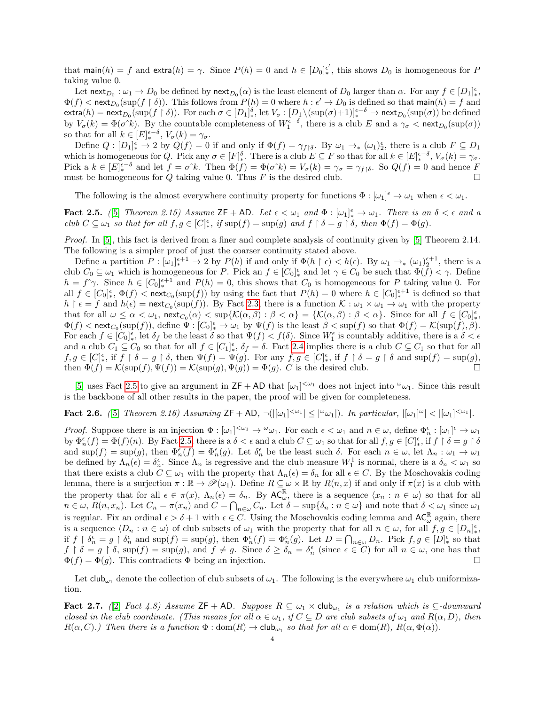that main $(h) = f$  and extra $(h) = \gamma$ . Since  $P(h) = 0$  and  $h \in [D_0]_{\ast}^{\epsilon'}$ , this shows  $D_0$  is homogeneous for P taking value 0.

Let  $\text{next}_{D_0} : \omega_1 \to D_0$  be defined by  $\text{next}_{D_0}(\alpha)$  is the least element of  $D_0$  larger than  $\alpha$ . For any  $f \in [D_1]_{\ast}^{\epsilon}$ ,  $\Phi(f) < \text{next}_{D_0}(\text{sup}(f \restriction \delta)).$  This follows from  $P(h) = 0$  where  $h : \epsilon' \to D_0$  is defined so that main $(h) = f$  and  $\textsf{extra}(h) = \textsf{next}_{D_0}(\textsf{sup}(f \restriction \delta)).$  For each  $\sigma \in [D_1]_*^{\delta}$ , let  $V_{\sigma} : [D_1 \setminus (\textsf{sup}(\sigma) + 1)]_*^{\epsilon-\delta} \to \textsf{next}_{D_0}(\textsf{sup}(\sigma))$  be defined by  $V_{\sigma}(k) = \Phi(\sigma^k)$ . By the countable completeness of  $W_1^{\epsilon-\delta}$ , there is a club E and a  $\gamma_{\sigma} < \text{next}_{D_0}(\text{sup}(\sigma))$ so that for all  $k \in [E]_*^{\epsilon-\delta}$ ,  $V_{\sigma}(k) = \gamma_{\sigma}$ .

Define  $Q: [D_1]_*^{\epsilon} \to 2$  by  $Q(f) = 0$  if and only if  $\Phi(f) = \gamma_{f} \delta$ . By  $\omega_1 \to_{*} (\omega_1)_{2}^{\epsilon}$ , there is a club  $F \subseteq D_1$ which is homogeneous for Q. Pick any  $\sigma \in [F]_*^{\delta}$ . There is a club  $E \subseteq F$  so that for all  $k \in [E]_*^{\epsilon-\delta}$ ,  $V_{\sigma}(k) = \gamma_{\sigma}$ . Pick a  $k \in [E]_{*}^{\epsilon-\delta}$  and let  $f = \sigma^k k$ . Then  $\Phi(f) = \Phi(\sigma^k) = V_{\sigma}(k) = \gamma_{\sigma} = \gamma_{f} \delta$ . So  $Q(f) = 0$  and hence F must be homogeneous for Q taking value 0. Thus F is the desired club.

The following is the almost everywhere continuity property for functions  $\Phi : [\omega_1]^\epsilon \to \omega_1$  when  $\epsilon < \omega_1$ .

<span id="page-3-1"></span>**Fact 2.5.** ([\[5\]](#page-12-1) Theorem 2.15) Assume  $ZF + AD$ . Let  $\epsilon < \omega_1$  and  $\Phi : [\omega_1]_*^{\epsilon} \to \omega_1$ . There is an  $\delta < \epsilon$  and a club  $C \subseteq \omega_1$  so that for all  $f, g \in [C]_*^{\epsilon}$ , if  $\sup(f) = \sup(g)$  and  $f \restriction \delta = g \restriction \delta$ , then  $\Phi(f) = \Phi(g)$ .

Proof. In [\[5\]](#page-12-1), this fact is derived from a finer and complete analysis of continuity given by [\[5\]](#page-12-1) Theorem 2.14. The following is a simpler proof of just the coarser continuity stated above.

Define a partition  $P: [\omega_1]_*^{\epsilon+1} \to 2$  by  $P(h)$  if and only if  $\Phi(h \restriction \epsilon) < h(\epsilon)$ . By  $\omega_1 \to_* (\omega_1)_2^{\epsilon+1}$ , there is a club  $C_0 \subseteq \omega_1$  which is homogeneous for P. Pick an  $f \in [C_0]_*^{\epsilon}$  and let  $\gamma \in C_0$  be such that  $\Phi(f) < \gamma$ . Define  $h = f^{\hat{ }}\gamma.$  Since  $h \in [C_0]_*^{\epsilon+1}$  and  $P(h) = 0$ , this shows that  $C_0$  is homogeneous for P taking value 0. For all  $f \in [C_0]_*^{\epsilon}$ ,  $\Phi(f) < \text{next}_{C_0}(\sup(f))$  by using the fact that  $P(h) = 0$  where  $h \in [C_0]_*^{\epsilon+1}$  is defined so that  $h \restriction \epsilon = f$  and  $h(\epsilon) = \text{next}_{C_0}(\text{sup}(f))$ . By Fact [2.3,](#page-2-1) there is a function  $\mathcal{K} : \omega_1 \times \omega_1 \to \omega_1$  with the property that for all  $\omega \leq \alpha < \omega_1$ ,  $\operatorname{next}_{C_0}(\alpha) < \sup\{ \mathcal{K}(\alpha,\beta) : \beta < \alpha \} = \{ \mathcal{K}(\alpha,\beta) : \beta < \alpha \}$ . Since for all  $f \in [C_0]_*^{\epsilon}$ ,  $\Phi(f) < \text{next}_{C_0}(\text{sup}(f)),$  define  $\Psi : [C_0]_*^{\epsilon} \to \omega_1$  by  $\Psi(f)$  is the least  $\beta < \text{sup}(f)$  so that  $\Phi(f) = \mathcal{K}(\text{sup}(f), \beta)$ . For each  $f \in [C_0]_*^{\epsilon}$ , let  $\delta_f$  be the least  $\delta$  so that  $\Psi(f) < f(\delta)$ . Since  $W_1^{\epsilon}$  is countably additive, there is a  $\delta < \epsilon$ and a club  $C_1 \subseteq C_0$  so that for all  $f \in [C_1]^{\epsilon}_{*}$ ,  $\delta_f = \delta$ . Fact [2.4](#page-2-2) implies there is a club  $C \subseteq C_1$  so that for all  $f, g \in [C]_*^{\epsilon}$ , if  $f \restriction \delta = g \restriction \delta$ , then  $\Psi(f) = \Psi(g)$ . For any  $f, g \in [C]_*^{\epsilon}$ , if  $f \restriction \delta = g \restriction \delta$  and  $\sup(f) = \sup(g)$ , then  $\Phi(f) = \mathcal{K}(\text{sup}(f), \Psi(f)) = \mathcal{K}(\text{sup}(g), \Psi(g)) = \Phi(g)$ . C is the desired club.

[\[5\]](#page-12-1) uses Fact [2.5](#page-3-1) to give an argument in  $ZF + AD$  that  $[\omega_1]^{<\omega_1}$  does not inject into  $\omega_{\omega_1}$ . Since this result is the backbone of all other results in the paper, the proof will be given for completeness.

# <span id="page-3-0"></span>Fact 2.6. ([\[5\]](#page-12-1) Theorem 2.16) Assuming  $\mathsf{ZF}+\mathsf{AD}, \neg(|[\omega_1]^{<\omega_1}] \leq |\omega_{\omega_1}|)$ . In particular,  $|[\omega_1]^{\omega}| < |[\omega_1]^{<\omega_1}|$ .

Proof. Suppose there is an injection  $\Phi : [\omega_1]^{<\omega_1} \to {}^{\omega}\omega_1$ . For each  $\epsilon < \omega_1$  and  $n \in \omega$ , define  $\Phi_n^{\epsilon} : [\omega_1]^{\epsilon} \to \omega_1$ by  $\Phi_n^{\epsilon}(f) = \Phi(f)(n)$ . By Fact [2.5,](#page-3-1) there is a  $\delta < \epsilon$  and a club  $C \subseteq \omega_1$  so that for all  $f, g \in [C]_*^{\epsilon}$ , if  $f \restriction \delta = g \restriction \delta$ and  $\sup(f) = \sup(g)$ , then  $\Phi_n^{\epsilon}(f) = \Phi_n^{\epsilon}(g)$ . Let  $\delta_n^{\epsilon}$  be the least such  $\delta$ . For each  $n \in \omega$ , let  $\Lambda_n : \omega_1 \to \omega_1$ be defined by  $\Lambda_n(\epsilon) = \delta_n^{\epsilon}$ . Since  $\Lambda_n$  is regressive and the club measure  $W_1^1$  is normal, there is a  $\delta_n < \omega_1$  so that there exists a club  $C \subseteq \omega_1$  with the property that  $\Lambda_n(\epsilon) = \delta_n$  for all  $\epsilon \in C$ . By the Moschovakis coding lemma, there is a surjection  $\pi : \mathbb{R} \to \mathscr{P}(\omega_1)$ . Define  $R \subseteq \omega \times \mathbb{R}$  by  $R(n, x)$  if and only if  $\pi(x)$  is a club with the property that for all  $\epsilon \in \pi(x)$ ,  $\Lambda_n(\epsilon) = \delta_n$ . By  $AC_{\omega}^{\mathbb{R}}$ , there is a sequence  $\langle x_n : n \in \omega \rangle$  so that for all  $n \in \omega$ ,  $R(n, x_n)$ . Let  $C_n = \pi(x_n)$  and  $C = \bigcap_{n \in \omega} C_n$ . Let  $\delta = \sup\{\delta_n : n \in \omega\}$  and note that  $\delta < \omega_1$  since  $\omega_1$ is regular. Fix an ordinal  $\epsilon > \delta + 1$  with  $\epsilon \in C$ . Using the Moschovakis coding lemma and  $AC_{\omega}^{\mathbb{R}}$  again, there is a sequence  $\langle D_n : n \in \omega \rangle$  of club subsets of  $\omega_1$  with the property that for all  $n \in \omega$ , for all  $f, g \in [D_n]_*^{\epsilon}$ , if  $f \restriction \delta_n^{\epsilon} = g \restriction \delta_n^{\epsilon}$  and  $\sup(f) = \sup(g)$ , then  $\Phi_n^{\epsilon}(f) = \Phi_n^{\epsilon}(g)$ . Let  $D = \bigcap_{n \in \omega} D_n$ . Pick  $f, g \in [D]_{*}^{\epsilon}$  so that  $f \restriction \delta = g \restriction \delta$ ,  $\sup(f) = \sup(g)$ , and  $f \neq g$ . Since  $\delta \geq \delta_n = \delta_n^{\epsilon}$  (since  $\epsilon \in C$ ) for all  $n \in \omega$ , one has that  $\Phi(f) = \Phi(g)$ . This contradicts  $\Phi$  being an injection.

Let club<sub>ω1</sub> denote the collection of club subsets of  $\omega_1$ . The following is the everywhere  $\omega_1$  club uniformization.

<span id="page-3-2"></span>**Fact 2.7.** ([\[2\]](#page-12-5) Fact 4.8) Assume  $ZF + AD$ . Suppose  $R \subseteq \omega_1 \times \text{club}_{\omega_1}$  is a relation which is  $\subseteq$ -downward closed in the club coordinate. (This means for all  $\alpha \in \omega_1$ , if  $C \subseteq D$  are club subsets of  $\omega_1$  and  $R(\alpha, D)$ , then  $R(\alpha, C)$ .) Then there is a function  $\Phi : \text{dom}(R) \to \text{club}_{\omega_1}$  so that for all  $\alpha \in \text{dom}(R)$ ,  $R(\alpha, \Phi(\alpha))$ .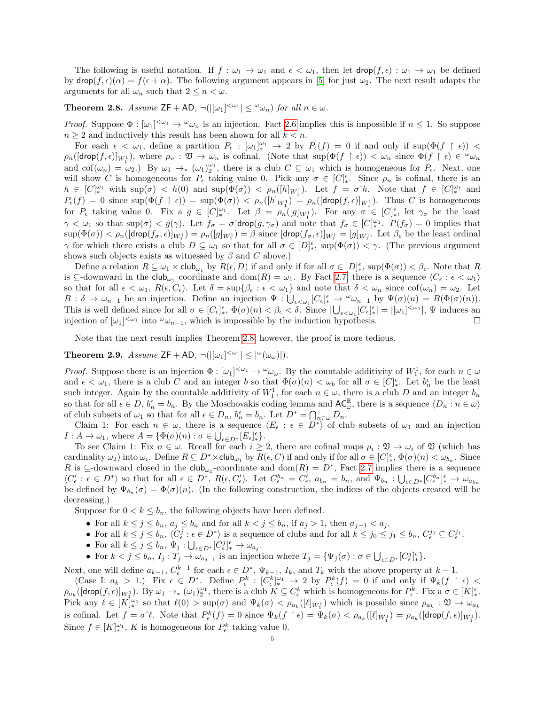The following is useful notation. If  $f : \omega_1 \to \omega_1$  and  $\epsilon < \omega_1$ , then let  $\text{drop}(f, \epsilon) : \omega_1 \to \omega_1$  be defined by  $\textsf{drop}(f, \epsilon)(\alpha) = f(\epsilon + \alpha)$ . The following argument appears in [\[5\]](#page-12-1) for just  $\omega_2$ . The next result adapts the arguments for all  $\omega_n$  such that  $2 \leq n < \omega$ .

<span id="page-4-1"></span>**Theorem 2.8.** Assume  $ZF + AD$ ,  $\neg(|[\omega_1]^{<\omega_1}] \leq \omega_{\omega_n}$  for all  $n \in \omega$ .

*Proof.* Suppose  $\Phi : [\omega_1]^{<\omega_1} \to \omega_n$  is an injection. Fact [2.6](#page-3-0) implies this is impossible if  $n \leq 1$ . So suppose  $n \geq 2$  and inductively this result has been shown for all  $k < n$ .

For each  $\epsilon < \omega_1$ , define a partition  $P_{\epsilon} : [\omega_1]_{*}^{\omega_1} \to 2$  by  $P_{\epsilon}(f) = 0$  if and only if  $\sup(\Phi(f \restriction \epsilon)) <$  $\rho_n([\text{drop}(f, \epsilon)]_{W_1^1}),$  where  $\rho_n : \mathfrak{V} \to \omega_n$  is cofinal. (Note that  $\sup(\Phi(f \restriction \epsilon)) < \omega_n$  since  $\Phi(f \restriction \epsilon) \in \omega_n$ ) and  $\text{cof}(\omega_n) = \omega_2$ .) By  $\omega_1 \to_{*} (\omega_1)_{2}^{\omega_1}$ , there is a club  $C \subseteq \omega_1$  which is homogeneous for  $P_{\epsilon}$ . Next, one will show C is homogeneous for  $P_{\epsilon}$  taking value 0. Pick any  $\sigma \in [C]_{*}^{\epsilon}$ . Since  $\rho_n$  is cofinal, there is an  $h \in [C]_*^{\omega_1}$  with  $\sup(\sigma) < h(0)$  and  $\sup(\Phi(\sigma)) < \rho_n([h]_{W_1})$ . Let  $f = \sigma^h$ . Note that  $f \in [C]_*^{\omega_1}$  and  $P_{\epsilon}(f) = 0$  since  $\sup(\Phi(f \restriction \epsilon)) = \sup(\Phi(\sigma)) < \rho_n([h]_{W_1}) = \rho_n([{\sf drop}(f,\epsilon)]_{W_1})$ . Thus C is homogeneous for  $P_{\epsilon}$  taking value 0. Fix a  $g \in [C]_{*}^{\omega_1}$ . Let  $\beta = \rho_n([g]_{W_1})$ . For any  $\sigma \in [C]_{*}^{\epsilon}$ , let  $\gamma_{\sigma}$  be the least  $\gamma < \omega_1$  so that sup $(\sigma) < g(\gamma)$ . Let  $f_{\sigma} = \sigma \hat{\sigma}$  drop $(g, \gamma_{\sigma})$  and note that  $f_{\sigma} \in [C]_{*}^{\omega_1}$ .  $P(f_{\sigma}) = 0$  implies that  $\sup(\Phi(\sigma)) < \rho_n([\textsf{drop}(f_\sigma,\epsilon)]_{W_1^1}) = \rho_n([g]_{W_1^1}) = \beta$  since  $[\textsf{drop}(f_\sigma,\epsilon)]_{W_1^1} = [g]_{W_1^1}$ . Let  $\beta_{\epsilon}$  be the least ordinal  $\gamma$  for which there exists a club  $D \subseteq \omega_1$  so that for all  $\sigma \in [D]_*^{\epsilon}$ ,  $\sup(\Phi(\sigma)) \leq \gamma$ . (The previous argument shows such objects exists as witnessed by  $\beta$  and C above.)

Define a relation  $R \subseteq \omega_1 \times \text{club}_{\omega_1}$  by  $R(\epsilon, D)$  if and only if for all  $\sigma \in [D]_*^{\epsilon}$ ,  $\text{sup}(\Phi(\sigma)) < \beta_{\epsilon}$ . Note that R is  $\subseteq$ -downward in the club<sub> $\omega_1$ </sub> coordinate and dom $(R) = \omega_1$ . By Fact [2.7,](#page-3-2) there is a sequence  $\langle C_{\epsilon} : \epsilon < \omega_1 \rangle$ so that for all  $\epsilon < \omega_1$ ,  $R(\epsilon, C_{\epsilon})$ . Let  $\delta = \sup\{\beta_{\epsilon} : \epsilon < \omega_1\}$  and note that  $\delta < \omega_n$  since  $\text{cof}(\omega_n) = \omega_2$ . Let  $B: \delta \to \omega_{n-1}$  be an injection. Define an injection  $\Psi: \bigcup_{\epsilon \leq \omega_1} [C_{\epsilon}]_*^{\epsilon} \to {}^{\omega}\omega_{n-1}$  by  $\Psi(\sigma)(n) = B(\Phi(\sigma)(n)).$ This is well defined since for all  $\sigma \in [C_{\epsilon}]_*^{\epsilon}$ ,  $\Phi(\sigma)(n) < \beta_{\epsilon} < \delta$ . Since  $|\bigcup_{\epsilon \leq \omega_1} [C_{\epsilon}]_*^{\epsilon}| = |[\omega_1]^{<\omega_1}|$ ,  $\Psi$  induces an injection of  $[\omega_1]^{<\omega_1}$  into  $\omega_{n-1}$ , which is impossible by the induction hypothesis.

Note that the next result implies Theorem [2.8;](#page-4-1) however, the proof is more tedious.

<span id="page-4-0"></span>**Theorem 2.9.** Assume  $ZF + AD$ ,  $\neg(|[\omega_1]^{<\omega_1}] \leq |\omega(\omega_\omega)|$ .

*Proof.* Suppose there is an injection  $\Phi : [\omega_1]^{<\omega_1} \to \omega_\omega$ . By the countable additivity of  $W_1^1$ , for each  $n \in \omega$ and  $\epsilon < \omega_1$ , there is a club C and an integer b so that  $\Phi(\sigma)(n) < \omega_b$  for all  $\sigma \in [C]_*^{\epsilon}$ . Let  $b_n^{\epsilon}$  be the least such integer. Again by the countable additivity of  $W_1^1$ , for each  $n \in \omega$ , there is a club D and an integer  $b_n$ so that for all  $\epsilon \in D$ ,  $b_n^{\epsilon} = b_n$ . By the Moschovakis coding lemma and  $AC_{\omega}^{\mathbb{R}}$ , there is a sequence  $\langle D_n : n \in \omega \rangle$ of club subsets of  $\omega_1$  so that for all  $\epsilon \in D_n$ ,  $b_n^{\epsilon} = b_n$ . Let  $D^* = \bigcap_{n \in \omega} D_n$ .

Claim 1: For each  $n \in \omega$ , there is a sequence  $\langle E_{\epsilon} : \epsilon \in D^* \rangle$  of club subsets of  $\omega_1$  and an injection  $I: A \to \omega_1$ , where  $A = {\Phi(\sigma)(n) : \sigma \in \bigcup_{\epsilon \in D^*} [E_{\epsilon}]^{\epsilon}_{*} }.$ 

To see Claim 1: Fix  $n \in \omega$ . Recall for each  $i \geq 2$ , there are cofinal maps  $\rho_i : \mathfrak{V} \to \omega_i$  of  $\mathfrak{V}$  (which has cardinality  $\omega_2$ ) into  $\omega_i$ . Define  $R \subseteq D^* \times \text{club}_{\omega_1}$  by  $R(\epsilon, C)$  if and only if for all  $\sigma \in [C]_*^{\epsilon}$ ,  $\Phi(\sigma)(n) < \omega_{b_n}$ . Since R is  $\subseteq$ -downward closed in the club<sub>ω1</sub>-coordinate and dom(R) = D<sup>\*</sup>, Fact [2.7](#page-3-2) implies there is a sequence  $\langle C'_{\epsilon} : \epsilon \in D^* \rangle$  so that for all  $\epsilon \in D^*$ ,  $R(\epsilon, C'_{\epsilon})$ . Let  $C^{b_n}_{\epsilon} = C'_{\epsilon}$ ,  $a_{b_n} = b_n$ , and  $\Psi_{b_n} : \bigcup_{\epsilon \in D^*} [C^{b_n}_{\epsilon}]^{\epsilon}_* \to \omega_{a_{b_n}}$ be defined by  $\Psi_{b_n}(\sigma) = \Phi(\sigma)(n)$ . (In the following construction, the indices of the objects created will be decreasing.)

Suppose for  $0 < k \leq b_n$ , the following objects have been defined.

- For all  $k \leq j \leq b_n$ ,  $a_j \leq b_n$  and for all  $k < j \leq b_n$ , if  $a_j > 1$ , then  $a_{j-1} < a_j$ .
- For all  $k \leq j \leq b_n$ ,  $\langle C_{\epsilon}^j : \epsilon \in D^* \rangle$  is a sequence of clubs and for all  $k \leq j_0 \leq j_1 \leq b_n$ ,  $C_{\epsilon}^{j_0} \subseteq C_{\epsilon}^{j_1}$ .
- For all  $k \leq j \leq b_n$ ,  $\Psi_j : \bigcup_{\epsilon \in D^*} [C^j_{\epsilon}]^{\epsilon}_* \to \omega_{a_j}$ .

• For  $k < j \le b_n$ ,  $I_j : T_j \to \omega_{a_{j-1}}$  is an injection where  $T_j = {\Psi_j(\sigma) : \sigma \in \bigcup_{\epsilon \in D^*} [C_{\epsilon}^j]^{\epsilon} }$ .

Next, one will define  $a_{k-1}, C_{\epsilon}^{k-1}$  for each  $\epsilon \in D^*$ ,  $\Psi_{k-1}, I_k$ , and  $T_k$  with the above property at  $k-1$ .

 $(\text{Case I: } a_k > 1.)$  Fix  $\epsilon \in D^*$ . Define  $P_{\epsilon}^k : [C_{\epsilon}^k]_{*}^{\omega_1} \to 2$  by  $P_{\epsilon}^k(f) = 0$  if and only if  $\Psi_k(f \restriction \epsilon)$  $\rho_{a_k}([\text{drop}(f, \epsilon)]_{W_1^1})$ . By  $\omega_1 \to_{*} (\omega_1)_2^{\omega_1}$ , there is a club  $K \subseteq C_{\epsilon}^k$  which is homogeneous for  $P_{\epsilon}^k$ . Fix a  $\sigma \in [K]_{*}^{\epsilon}$ . Pick any  $\ell \in [K]_{*}^{\omega_1}$  so that  $\ell(0) > \sup(\sigma)$  and  $\Psi_k(\sigma) < \rho_{a_k}([\ell]_{W_1^1})$  which is possible since  $\rho_{a_k} : \mathfrak{V} \to \omega_{a_k}$ is cofinal. Let  $f = \sigma^{\gamma} \ell$ . Note that  $P_{\epsilon}^{k}(f) = 0$  since  $\Psi_{k}(f \restriction \epsilon) = \Psi_{k}(\sigma) < \rho_{a_{k}}([\ell]_{W_{1}^{1}}) = \rho_{a_{k}}([\text{drop}(f, \epsilon)]_{W_{1}^{1}})$ . Since  $f \in [K]_{*}^{\omega_1}$ , K is homogeneous for  $P_{\epsilon}^{k}$  taking value 0.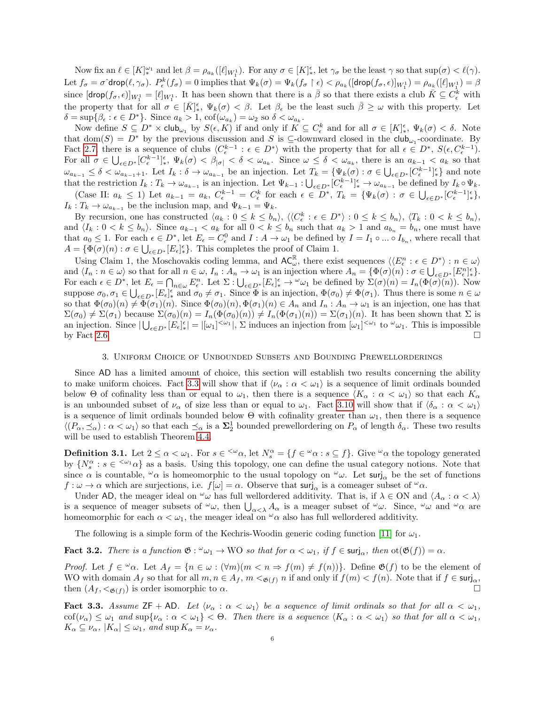Now fix an  $\ell \in [K]_{*}^{\omega_1}$  and let  $\beta = \rho_{a_k}([\ell]_{W_1^1})$ . For any  $\sigma \in [K]_{*}^{\epsilon}$ , let  $\gamma_{\sigma}$  be the least  $\gamma$  so that  $\sup(\sigma) < \ell(\gamma)$ . Let  $f_{\sigma} = \sigma^2 d \text{rop}(\ell, \gamma_{\sigma})$ .  $P_{\epsilon}^k(f_{\sigma}) = 0$  implies that  $\Psi_k(\sigma) = \Psi_k(f_{\sigma} \upharpoonright \epsilon) < \rho_{a_k}([\text{drop}(f_{\sigma}, \epsilon)]_{W_1^1}) = \rho_{a_k}([\ell]_{W_1^1}) = \beta$ since  $[\text{drop}(f_\sigma, \epsilon)]_{W_1^1} = [\ell]_{W_1^1}$ . It has been shown that there is a  $\bar{\beta}$  so that there exists a club  $\bar{K} \subseteq C_{\epsilon}^k$  with the property that for all  $\sigma \in [\bar{K}]_*^{\epsilon}$ ,  $\Psi_k(\sigma) < \beta$ . Let  $\beta_{\epsilon}$  be the least such  $\bar{\beta} \geq \omega$  with this property. Let  $\delta = \sup \{ \beta_{\epsilon} : \epsilon \in D^* \}.$  Since  $a_k > 1$ ,  $\mathrm{cof}(\omega_{a_k}) = \omega_2$  so  $\delta < \omega_{a_k}$ .

Now define  $S \subseteq D^* \times \mathsf{club}_{\omega_1}$  by  $S(\epsilon, K)$  if and only if  $K \subseteq C_{\epsilon}^k$  and for all  $\sigma \in [K]_{*}^{\epsilon}$ ,  $\Psi_k(\sigma) < \delta$ . Note that dom(S) =  $D^*$  by the previous discussion and S is  $\subseteq$ -downward closed in the club<sub>ω1</sub>-coordinate. By Fact [2.7,](#page-3-2) there is a sequence of clubs  $\langle C_{\epsilon}^{k-1} : \epsilon \in D^* \rangle$  with the property that for all  $\epsilon \in D^*$ ,  $S(\epsilon, C_{\epsilon}^{k-1})$ . For all  $\sigma \in \bigcup_{\epsilon \in D^*} [C_{\epsilon}^{k-1}]_{*}^{\epsilon}$ ,  $\Psi_k(\sigma) < \beta_{|\sigma|} < \delta < \omega_{a_k}$ . Since  $\omega \leq \delta < \omega_{a_k}$ , there is an  $a_{k-1} < a_k$  so that  $\omega_{a_{k-1}} \leq \delta < \omega_{a_{k-1}+1}$ . Let  $I_k : \delta \to \omega_{a_{k-1}}$  be an injection. Let  $T_k = {\Psi_k(\sigma) : \sigma \in \bigcup_{\epsilon \in D^*} [C_{\epsilon}^{k-1}]_*^{\epsilon}}$  and note that the restriction  $I_k: T_k \to \omega_{a_{k-1}}$  is an injection. Let  $\Psi_{k-1}: \bigcup_{\epsilon \in D^*} [C_{\epsilon}^{k-1}]_{*}^{\epsilon} \to \omega_{a_{k-1}}$  be defined by  $I_k \circ \Psi_k$ .

(Case II:  $a_k \leq 1$ ) Let  $a_{k-1} = a_k$ ,  $C_{\epsilon}^{k-1} = C_{\epsilon}^k$  for each  $\epsilon \in D^*$ ,  $T_k = {\Psi_k(\sigma) : \sigma \in \bigcup_{\epsilon \in D^*} [C_{\epsilon}^{k-1}]_{*}^{\epsilon} }$ ,  $I_k: T_k \to \omega_{a_{k-1}}$  be the inclusion map, and  $\Psi_{k-1} = \Psi_k$ .

By recursion, one has constructed  $\langle a_k : 0 \le k \le b_n \rangle$ ,  $\langle C_{\epsilon}^k : \epsilon \in D^* \rangle : 0 \le k \le b_n \rangle$ ,  $\langle T_k : 0 \le k \le b_n \rangle$ , and  $\langle I_k : 0 \le k \le b_n \rangle$ . Since  $a_{k-1} < a_k$  for all  $0 \le k \le b_n$  such that  $a_k > 1$  and  $a_{b_n} = b_n$ , one must have that  $a_0 \leq 1$ . For each  $\epsilon \in D^*$ , let  $E_{\epsilon} = C_{\epsilon}^0$  and  $I: A \to \omega_1$  be defined by  $I = I_1 \circ ... \circ I_{b_n}$ , where recall that  $A = \{ \Phi(\sigma)(n) : \sigma \in \bigcup_{\epsilon \in D^*} [E_{\epsilon}]_*^{\epsilon} \}.$  This completes the proof of Claim 1.

Using Claim 1, the Moschovakis coding lemma, and  $AC_{\omega}^{\mathbb{R}}$ , there exist sequences  $\langle\langle E_{\epsilon}^n : \epsilon \in D^* \rangle : n \in \omega \rangle$ and  $\langle I_n : n \in \omega \rangle$  so that for all  $n \in \omega$ ,  $I_n : A_n \to \omega_1$  is an injection where  $A_n = \{ \Phi(\sigma)(n) : \sigma \in \bigcup_{\epsilon \in D^*} [E_{\epsilon}^n]_{\epsilon}^{\epsilon} \}.$ For each  $\epsilon \in D^*$ , let  $E_{\epsilon} = \bigcap_{n \in \omega} E_{\epsilon}^n$ . Let  $\Sigma : \bigcup_{\epsilon \in D^*} [E_{\epsilon}]_{*}^{\epsilon} \to {}^{\omega}\omega_1$  be defined by  $\Sigma(\sigma)(n) = I_n(\Phi(\sigma)(n))$ . Now suppose  $\sigma_0, \sigma_1 \in \bigcup_{\epsilon \in D^*} [E_{\epsilon}]^{\epsilon}_{*}$  and  $\sigma_0 \neq \sigma_1$ . Since  $\Phi$  is an injection,  $\Phi(\sigma_0) \neq \Phi(\sigma_1)$ . Thus there is some  $n \in \omega$ so that  $\Phi(\sigma_0)(n) \neq \Phi(\sigma_1)(n)$ . Since  $\Phi(\sigma_0)(n)$ ,  $\Phi(\sigma_1)(n) \in A_n$  and  $I_n : A_n \to \omega_1$  is an injection, one has that  $\Sigma(\sigma_0) \neq \Sigma(\sigma_1)$  because  $\Sigma(\sigma_0)(n) = I_n(\Phi(\sigma_0)(n)) \neq I_n(\Phi(\sigma_1)(n)) = \Sigma(\sigma_1)(n)$ . It has been shown that  $\Sigma$  is an injection. Since  $|\bigcup_{\epsilon \in D^*} [E_{\epsilon}]_{*}^{\epsilon}| = |[\omega_1]^{<\omega_1}|$ ,  $\Sigma$  induces an injection from  $[\omega_1]^{<\omega_1}$  to  $\omega_{\omega_1}$ . This is impossible by Fact [2.6.](#page-3-0)  $\Box$ 

## 3. Uniform Choice of Unbounded Subsets and Bounding Prewellorderings

Since AD has a limited amount of choice, this section will establish two results concerning the ability to make uniform choices. Fact [3.3](#page-5-0) will show that if  $\langle \nu_{\alpha} : \alpha < \omega_1 \rangle$  is a sequence of limit ordinals bounded below Θ of cofinality less than or equal to  $\omega_1$ , then there is a sequence  $\langle K_\alpha : \alpha < \omega_1 \rangle$  so that each  $K_\alpha$ is an unbounded subset of  $\nu_{\alpha}$  of size less than or equal to  $\omega_1$ . Fact [3.10](#page-9-0) will show that if  $\langle \delta_{\alpha} : \alpha < \omega_1 \rangle$ is a sequence of limit ordinals bounded below  $\Theta$  with cofinality greater than  $\omega_1$ , then there is a sequence  $\langle (P_\alpha, \preceq_\alpha) : \alpha < \omega_1 \rangle$  so that each  $\preceq_\alpha$  is a  $\Sigma^1_2$  bounded prewellordering on  $P_\alpha$  of length  $\delta_\alpha$ . These two results will be used to establish Theorem [4.4.](#page-10-0)

**Definition 3.1.** Let  $2 \leq \alpha < \omega_1$ . For  $s \in \{\omega_\alpha\}$ , let  $N_s^\alpha = \{f \in \omega_\alpha : s \subseteq f\}$ . Give  $\omega_\alpha$  the topology generated by  $\{N_s^{\alpha}: s \in \langle\omega_1 \alpha\rangle\}$  as a basis. Using this topology, one can define the usual category notions. Note that since  $\alpha$  is countable,  $\alpha \alpha$  is homeomorphic to the usual topology on  $\alpha \omega$ . Let surj<sub>α</sub> be the set of functions  $f: \omega \to \alpha$  which are surjections, i.e.  $f[\omega] = \alpha$ . Observe that surj<sub>α</sub> is a comeager subset of  $\omega_{\alpha}$ .

Under AD, the meager ideal on  $\omega_{\omega}$  has full wellordered additivity. That is, if  $\lambda \in ON$  and  $\langle A_{\alpha} : \alpha < \lambda \rangle$ is a sequence of meager subsets of  $\omega_{\omega}$ , then  $\bigcup_{\alpha<\lambda} A_{\alpha}$  is a meager subset of  $\omega_{\omega}$ . Since,  $\omega_{\omega}$  and  $\omega_{\alpha}$  are homeomorphic for each  $\alpha < \omega_1$ , the meager ideal on  $\omega_{\alpha}$  also has full wellordered additivity.

The following is a simple form of the Kechris-Woodin generic coding function [\[11\]](#page-12-8) for  $\omega_1$ .

<span id="page-5-1"></span>**Fact 3.2.** There is a function  $\mathfrak{G}: \omega_1 \to \mathbb{W}$  so that for  $\alpha < \omega_1$ , if  $f \in \text{surj}_{\alpha}$ , then  $\text{ot}(\mathfrak{G}(f)) = \alpha$ .

*Proof.* Let  $f \in \omega_\alpha$ . Let  $A_f = \{n \in \omega : (\forall m)(m \leq n \Rightarrow f(m) \neq f(n))\}$ . Define  $\mathfrak{G}(f)$  to be the element of WO with domain  $A_f$  so that for all  $m, n \in A_f$ ,  $m  $\mathfrak{g}(f)$  n if and only if  $f(m) < f(n)$ . Note that if  $f \in \mathsf{surj}_{\alpha}$ ,$ then  $(A_f, \langle \mathfrak{g}_f, \cdot \rangle)$  is order isomorphic to  $\alpha$ .

<span id="page-5-0"></span>**Fact 3.3.** Assume ZF + AD. Let  $\langle \nu_{\alpha} : \alpha \langle \omega_1 \rangle$  be a sequence of limit ordinals so that for all  $\alpha \langle \omega_1 \rangle$  $\text{cof}(\nu_{\alpha}) \leq \omega_1$  and  $\text{sup}\{\nu_{\alpha} : \alpha < \omega_1\} < \Theta$ . Then there is a sequence  $\langle K_{\alpha} : \alpha < \omega_1 \rangle$  so that for all  $\alpha < \omega_1$ ,  $K_{\alpha} \subseteq \nu_{\alpha}, |K_{\alpha}| \leq \omega_1$ , and sup  $K_{\alpha} = \nu_{\alpha}$ .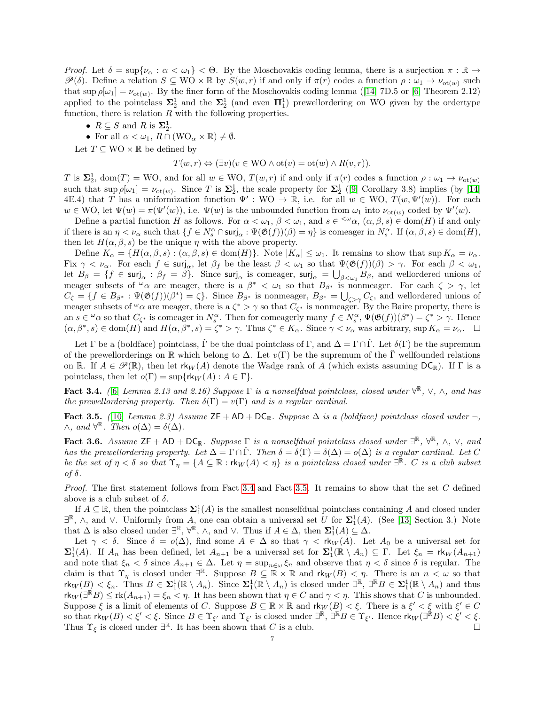Proof. Let  $\delta = \sup \{ \nu_\alpha : \alpha < \omega_1 \} < \Theta$ . By the Moschovakis coding lemma, there is a surjection  $\pi : \mathbb{R} \to$  $\mathscr{P}(\delta)$ . Define a relation  $S \subseteq WO \times \mathbb{R}$  by  $S(w,r)$  if and only if  $\pi(r)$  codes a function  $\rho : \omega_1 \to \nu_{\text{ot}(w)}$  such thatsup  $\rho[\omega_1] = \nu_{\text{ot}(\omega)}$ . By the finer form of the Moschovakis coding lemma ([\[14\]](#page-13-2) 7D.5 or [\[6\]](#page-12-6) Theorem 2.12) applied to the pointclass  $\Sigma_2^1$  and the  $\Sigma_2^1$  (and even  $\Pi_1^1$ ) prewellordering on WO given by the ordertype function, there is relation  $R$  with the following properties.

- $R \subseteq S$  and R is  $\Sigma_2^1$ .
- For all  $\alpha < \omega_1$ ,  $R \cap (WO_{\alpha} \times \mathbb{R}) \neq \emptyset$ .

Let  $T \subseteq WO \times \mathbb{R}$  be defined by

$$
T(w,r) \Leftrightarrow (\exists v)(v \in \mathcal{WO} \land \mathit{ot}(v) = \mathit{ot}(w) \land R(v,r)).
$$

T is  $\Sigma_2^1$ , dom(T) = WO, and for all  $w \in \text{WO}$ ,  $T(w,r)$  if and only if  $\pi(r)$  codes a function  $\rho : \omega_1 \to \nu_{\text{ot}(w)}$ such that  $\sup \rho[\omega_1] = \nu_{\text{ot}(w)}$ . Since T is  $\Sigma_2^1$ , the scale property for  $\Sigma_2^1$  ([\[9\]](#page-12-9) Corollary 3.8) implies (by [\[14\]](#page-13-2) 4E.4) that T has a uniformization function  $\Psi' : WO \to \mathbb{R}$ , i.e. for all  $w \in WO$ ,  $T(w, \Psi'(w))$ . For each  $w \in \text{WO}$ , let  $\Psi(w) = \pi(\Psi'(w))$ , i.e.  $\Psi(w)$  is the unbounded function from  $\omega_1$  into  $\nu_{\text{ot}(w)}$  coded by  $\Psi'(w)$ .

Define a partial function H as follows. For  $\alpha < \omega_1$ ,  $\beta < \omega_1$ , and  $s \in \langle \omega_\alpha, (\alpha, \beta, s) \in \text{dom}(H) \rangle$  if and only if there is an  $\eta < \nu_\alpha$  such that  $\{f \in N_s^\alpha \cap \text{surj}_\alpha : \Psi(\mathfrak{G}(f))(\beta) = \eta\}$  is comeager in  $N_s^\alpha$ . If  $(\alpha, \beta, s) \in \text{dom}(H)$ , then let  $H(\alpha, \beta, s)$  be the unique  $\eta$  with the above property.

Define  $K_{\alpha} = \{H(\alpha,\beta,s) : (\alpha,\beta,s) \in \text{dom}(H)\}\$ . Note  $|K_{\alpha}| \leq \omega_1$ . It remains to show that sup  $K_{\alpha} = \nu_{\alpha}$ . Fix  $\gamma < \nu_\alpha$ . For each  $f \in \text{surj}_\alpha$ , let  $\beta_f$  be the least  $\beta < \omega_1$  so that  $\Psi(\mathfrak{G}(f))(\beta) > \gamma$ . For each  $\beta < \omega_1$ , let  $B_{\beta} = \{f \in \mathsf{surj}_{\alpha} : \beta_f = \beta\}$ . Since  $\mathsf{surj}_{\alpha}$  is comeager,  $\mathsf{surj}_{\alpha} = \bigcup_{\beta < \omega_1} B_{\beta}$ , and wellordered unions of meager subsets of  $\alpha$  are meager, there is a  $\beta^* < \omega_1$  so that  $B_{\beta^*}$  is nonmeager. For each  $\zeta > \gamma$ , let  $C_{\zeta} = \{f \in B_{\beta^*} : \Psi(\mathfrak{G}(f))(\beta^*) = \zeta\}.$  Since  $B_{\beta^*}$  is nonmeager,  $B_{\beta^*} = \bigcup_{\zeta > \gamma} C_{\zeta}$ , and wellordered unions of meager subsets of  $\omega_{\alpha}$  are meager, there is a  $\zeta^* > \gamma$  so that  $C_{\zeta^*}$  is nonmeager. By the Baire property, there is an  $s \in \omega$  so that  $C_{\zeta^*}$  is comeager in  $N_s^{\alpha}$ . Then for comeagerly many  $f \in N_s^{\alpha}$ ,  $\Psi(\mathfrak{G}(f))(\beta^*) = \zeta^* > \gamma$ . Hence  $(\alpha, \beta^*, s) \in \text{dom}(H)$  and  $H(\alpha, \beta^*, s) = \zeta^* > \gamma$ . Thus  $\zeta^* \in K_\alpha$ . Since  $\gamma < \nu_\alpha$  was arbitrary, sup  $K_\alpha = \nu_\alpha$ .  $\Box$ 

Let  $\Gamma$  be a (boldface) pointclass,  $\Gamma$  be the dual pointclass of  $\Gamma$ , and  $\Delta = \Gamma \cap \Gamma$ . Let  $\delta(\Gamma)$  be the supremum of the prewellorderings on R which belong to  $\Delta$ . Let  $v(\Gamma)$  be the supremum of the  $\Gamma$  wellfounded relations on R. If  $A \in \mathscr{P}(\mathbb{R})$ , then let  $\mathsf{rk}_W(A)$  denote the Wadge rank of A (which exists assuming  $\mathsf{DC}_{\mathbb{R}}$ ). If  $\Gamma$  is a pointclass, then let  $o(\Gamma) = \sup\{rk_W(A) : A \in \Gamma\}.$ 

<span id="page-6-0"></span>Fact 3.4. ([\[6\]](#page-12-6) Lemma 2.13 and 2.16) Suppose  $\Gamma$  is a nonselfdual pointclass, closed under  $\forall^{\mathbb{R}}, \vee, \wedge$ , and has the prewellordering property. Then  $\delta(\Gamma) = v(\Gamma)$  and is a regular cardinal.

<span id="page-6-1"></span>Fact 3.5. ([\[10\]](#page-12-10) Lemma 2.3) Assume  $ZF + AD + DC_R$ . Suppose  $\Delta$  is a (boldface) pointclass closed under  $\neg$ ,  $\wedge$ , and  $\forall^{\mathbb{R}}$ . Then  $o(\Delta) = \delta(\Delta)$ .

<span id="page-6-2"></span>**Fact 3.6.** Assume  $ZF + AD + DC_{\mathbb{R}}$ . Suppose  $\Gamma$  is a nonselfdual pointclass closed under  $\exists^{\mathbb{R}}, \forall^{\mathbb{R}}, \wedge, \vee,$  and has the prewellordering property. Let  $\Delta = \Gamma \cap \check{\Gamma}$ . Then  $\delta = \delta(\Gamma) = \delta(\Delta) = o(\Delta)$  is a regular cardinal. Let C be the set of  $\eta < \delta$  so that  $\Upsilon_{\eta} = \{A \subseteq \mathbb{R} : \text{rk}_W(A) < \eta\}$  is a pointclass closed under  $\exists^{\mathbb{R}}$ . C is a club subset of δ.

Proof. The first statement follows from Fact [3.4](#page-6-0) and Fact [3.5.](#page-6-1) It remains to show that the set C defined above is a club subset of  $\delta$ .

If  $A \subseteq \mathbb{R}$ , then the pointclass  $\Sigma_1^1(A)$  is the smallest nonselfdual pointclass containing A and closed under  $\exists \mathbb{R}, \wedge$ , and  $\vee$ . Uniformly from A, one can obtain a universal set U for  $\Sigma_1^1(A)$ . (See [\[13\]](#page-13-3) Section 3.) Note that  $\Delta$  is also closed under  $\exists \mathbb{R}, \forall \mathbb{R}, \wedge$ , and  $\vee$ . Thus if  $A \in \Delta$ , then  $\Sigma_1^1(A) \subseteq \Delta$ .

Let  $\gamma < \delta$ . Since  $\delta = o(\Delta)$ , find some  $A \in \Delta$  so that  $\gamma < r \cdot k_W(A)$ . Let  $A_0$  be a universal set for  $\Sigma_1^1(A)$ . If  $A_n$  has been defined, let  $A_{n+1}$  be a universal set for  $\Sigma_1^1(\mathbb{R} \setminus A_n) \subseteq \Gamma$ . Let  $\xi_n = \text{rk}_W(A_{n+1})$ and note that  $\xi_n < \delta$  since  $A_{n+1} \in \Delta$ . Let  $\eta = \sup_{n \in \omega} \xi_n$  and observe that  $\eta < \delta$  since  $\delta$  is regular. The claim is that  $\Upsilon_{\eta}$  is closed under  $\exists^{\mathbb{R}}$ . Suppose  $B \subseteq \mathbb{R} \times \mathbb{R}$  and  $\mathsf{rk}_W(B) < \eta$ . There is an  $n < \omega$  so that  $\mathsf{rk}_W(B) < \xi_n$ . Thus  $B \in \Sigma^1_1(\mathbb{R} \setminus A_n)$ . Since  $\Sigma^1_1(\mathbb{R} \setminus A_n)$  is closed under  $\exists^{\mathbb{R}}, \exists^{\mathbb{R}} B \in \Sigma^1_1(\mathbb{R} \setminus A_n)$  and thus  $\mathsf{rk}_W(\exists^{\mathbb{R}} B) \leq \mathsf{rk}(A_{n+1}) = \xi_n < \eta$ . It has been shown that  $\eta \in C$  and  $\gamma < \eta$ . This shows that C is unbounded. Suppose  $\xi$  is a limit of elements of C. Suppose  $B \subseteq \mathbb{R} \times \mathbb{R}$  and  $\mathsf{rk}_W(B) < \xi$ . There is a  $\xi' < \xi$  with  $\xi' \in C$ so that  $rk_W(B) < \xi' < \xi$ . Since  $B \in \Upsilon_{\xi'}$  and  $\Upsilon_{\xi'}$  is closed under  $\exists^{\mathbb{R}}, \exists^{\mathbb{R}}B \in \Upsilon_{\xi'}$ . Hence  $rk_W(\exists^{\mathbb{R}}B) < \xi' < \xi$ . Thus  $\Upsilon_{\xi}$  is closed under  $\exists^{\mathbb{R}}$ . It has been shown that C is a club.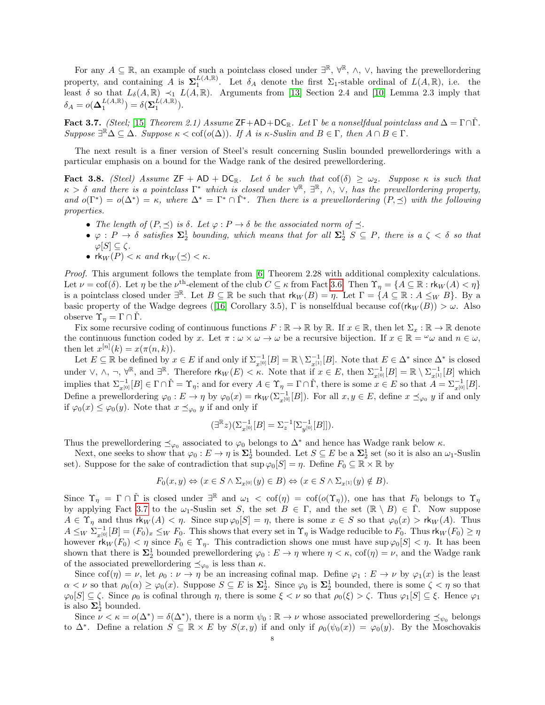For any  $A \subseteq \mathbb{R}$ , an example of such a pointclass closed under  $\exists^{\mathbb{R}}, \forall^{\mathbb{R}}, \wedge, \vee$ , having the prewellordering property, and containing A is  $\Sigma_1^{L(A,\mathbb{R})}$ . Let  $\delta_A$  denote the first  $\Sigma_1$ -stable ordinal of  $L(A,\mathbb{R})$ , i.e. the least  $\delta$  so that  $L_{\delta}(A,\mathbb{R}) \prec_1 L(A,\mathbb{R})$ . Arguments from [\[13\]](#page-13-3) Section 2.4 and [\[10\]](#page-12-10) Lemma 2.3 imply that  $\delta_A = o(\mathbf{\Delta}_1^{L(A,\mathbb{R})}) = \delta(\mathbf{\Sigma}_1^{\hat{L}(A,\mathbb{R})}).$ 

<span id="page-7-0"></span>Fact 3.7. (Steel; [\[15\]](#page-13-4) Theorem 2.1) Assume ZF+AD+DC<sub>R</sub>. Let  $\Gamma$  be a nonselfdual pointclass and  $\Delta = \Gamma \cap \Gamma$ . Suppose  $\exists \mathbb{R} \Delta \subseteq \Delta$ . Suppose  $\kappa < \text{cof}(\omicron(\Delta))$ . If A is  $\kappa$ -Suslin and  $B \in \Gamma$ , then  $A \cap B \in \Gamma$ .

The next result is a finer version of Steel's result concerning Suslin bounded prewellorderings with a particular emphasis on a bound for the Wadge rank of the desired prewellordering.

<span id="page-7-1"></span>Fact 3.8. (Steel) Assume  $ZF + AD + DC_R$ . Let  $\delta$  be such that cof( $\delta$ )  $\geq \omega_2$ . Suppose  $\kappa$  is such that  $\kappa > \delta$  and there is a pointclass  $\Gamma^*$  which is closed under  $\forall^{\mathbb{R}}, \exists^{\mathbb{R}}, \wedge, \vee,$  has the prewellordering property, and  $o(\Gamma^*) = o(\Delta^*) = \kappa$ , where  $\Delta^* = \Gamma^* \cap \check{\Gamma}^*$ . Then there is a prewellordering  $(P, \preceq)$  with the following properties.

- The length of  $(P, \preceq)$  is  $\delta$ . Let  $\varphi : P \to \delta$  be the associated norm of  $\preceq$ .
- $\bullet \varphi : P \to \delta$  satisfies  $\Sigma_2^1$  bounding, which means that for all  $\Sigma_2^1 S \subseteq P$ , there is  $a \zeta < \delta$  so that  $\varphi[S] \subseteq \zeta$ .
- rk $_W(P) < \kappa$  and  $\text{rk}_W(\preceq) < \kappa$ .

Proof. This argument follows the template from [\[6\]](#page-12-6) Theorem 2.28 with additional complexity calculations. Let  $\nu = \text{cof}(\delta)$ . Let  $\eta$  be the  $\nu^{\text{th}}$ -element of the club  $C \subseteq \kappa$  from Fact [3.6.](#page-6-2) Then  $\Upsilon_{\eta} = \{A \subseteq \mathbb{R} : \text{rk}_W(A) < \eta\}$ is a pointclass closed under  $\exists^{\mathbb{R}}$ . Let  $B \subseteq \mathbb{R}$  be such that  $rk_W(B) = \eta$ . Let  $\Gamma = \{A \subseteq \mathbb{R} : A \leq_W B\}$ . By a basicproperty of the Wadge degrees ([\[16\]](#page-13-5) Corollary 3.5), Γ is nonselfdual because  $\text{cof}(\mathsf{rk}_W(B)) > \omega$ . Also observe  $\Upsilon_{\eta} = \Gamma \cap \check{\Gamma}$ .

Fix some recursive coding of continuous functions  $F : \mathbb{R} \to \mathbb{R}$  by  $\mathbb{R}$ . If  $x \in \mathbb{R}$ , then let  $\Sigma_x : \mathbb{R} \to \mathbb{R}$  denote the continuous function coded by x. Let  $\pi : \omega \times \omega \to \omega$  be a recursive bijection. If  $x \in \mathbb{R} = \omega \omega$  and  $n \in \omega$ , then let  $x^{[n]}(k) = x(\pi(n,k)).$ 

Let  $E \subseteq \mathbb{R}$  be defined by  $x \in E$  if and only if  $\Sigma_{x^{[0]}}^{-1}[B] = \mathbb{R} \setminus \Sigma_{x^{[1]}}^{-1}[B]$ . Note that  $E \in \Delta^*$  since  $\Delta^*$  is closed under  $\vee$ ,  $\wedge$ ,  $\neg$ ,  $\forall^{\mathbb{R}}$ , and  $\exists^{\mathbb{R}}$ . Therefore  $\mathsf{rk}_W(E) < \kappa$ . Note that if  $x \in E$ , then  $\Sigma_{x^{[0]}}^{-1}[B] = \mathbb{R} \setminus \Sigma_{x^{[1]}}^{-1}[B]$  which implies that  $\Sigma_{x^{[0]}}^{-1}[B] \in \Gamma \cap \check{\Gamma} = \Upsilon_{\eta}$ ; and for every  $A \in \Upsilon_{\eta} = \Gamma \cap \check{\Gamma}$ , there is some  $x \in E$  so that  $A = \Sigma_{x^{[0]}}^{-1}[B]$ . Define a prewellordering  $\varphi_0: E \to \eta$  by  $\varphi_0(x) = \mathsf{rk}_W(\Sigma_{x^{[0]}}^{-1}[B])$ . For all  $x, y \in E$ , define  $x \preceq_{\varphi_0} y$  if and only if  $\varphi_0(x) \leq \varphi_0(y)$ . Note that  $x \preceq_{\varphi_0} y$  if and only if

$$
(\exists^{\mathbb{R}} z)(\Sigma_{x^{[0]}}^{-1}[B]=\Sigma_{z}^{-1}[\Sigma_{y^{[0]}}^{-1}[B]]).
$$

Thus the prewellordering  $\preceq_{\varphi_0}$  associated to  $\varphi_0$  belongs to  $\Delta^*$  and hence has Wadge rank below  $\kappa$ .

Next, one seeks to show that  $\varphi_0: E \to \eta$  is  $\Sigma_2^1$  bounded. Let  $S \subseteq E$  be a  $\Sigma_2^1$  set (so it is also an  $\omega_1$ -Suslin set). Suppose for the sake of contradiction that  $\sup \varphi_0[S] = \eta$ . Define  $F_0 \subseteq \mathbb{R} \times \mathbb{R}$  by

$$
F_0(x, y) \Leftrightarrow (x \in S \land \Sigma_{x^{[0]}}(y) \in B) \Leftrightarrow (x \in S \land \Sigma_{x^{[1]}}(y) \notin B).
$$

Since  $\Upsilon_{\eta} = \Gamma \cap \check{\Gamma}$  is closed under  $\exists^{\mathbb{R}}$  and  $\omega_1 < \text{cof}(\eta) = \text{cof}(\rho(\Upsilon_{\eta}))$ , one has that  $F_0$  belongs to  $\Upsilon_{\eta}$ by applying Fact [3.7](#page-7-0) to the  $\omega_1$ -Suslin set S, the set  $B \in \Gamma$ , and the set  $(\mathbb{R} \setminus B) \in \check{\Gamma}$ . Now suppose  $A \in \Upsilon_{\eta}$  and thus  $\mathsf{rk}_W(A) < \eta$ . Since  $\sup \varphi_0[S] = \eta$ , there is some  $x \in S$  so that  $\varphi_0(x) > \mathsf{rk}_W(A)$ . Thus  $A \leq_W \sum_{x^{[0]}}^{-1} [B] = (F_0)_x \leq_W F_0$ . This shows that every set in  $\Upsilon_{\eta}$  is Wadge reducible to  $F_0$ . Thus  $\mathsf{rk}_W(F_0) \geq \eta$ however  $\mathsf{rk}_W(F_0) < \eta$  since  $F_0 \in \Upsilon_{\eta}$ . This contradiction shows one must have sup  $\varphi_0[S] < \eta$ . It has been shown that there is  $\Sigma_2^1$  bounded prewellordering  $\varphi_0: E \to \eta$  where  $\eta < \kappa$ ,  $\text{cof}(\eta) = \nu$ , and the Wadge rank of the associated prewellordering  $\preceq_{\varphi_0}$  is less than  $\kappa$ .

Since cof( $\eta$ ) =  $\nu$ , let  $\rho_0 : \nu \to \eta$  be an increasing cofinal map. Define  $\varphi_1 : E \to \nu$  by  $\varphi_1(x)$  is the least  $\alpha < \nu$  so that  $\rho_0(\alpha) \ge \varphi_0(x)$ . Suppose  $S \subseteq E$  is  $\Sigma_2^1$ . Since  $\varphi_0$  is  $\Sigma_2^1$  bounded, there is some  $\zeta < \eta$  so that  $\varphi_0[S] \subseteq \zeta$ . Since  $\rho_0$  is cofinal through  $\eta$ , there is some  $\xi < \nu$  so that  $\rho_0(\xi) > \zeta$ . Thus  $\varphi_1[S] \subseteq \xi$ . Hence  $\varphi_1$ is also  $\Sigma^1_2$  bounded.

Since  $\nu < \kappa = o(\Delta^*) = \delta(\Delta^*)$ , there is a norm  $\psi_0 : \mathbb{R} \to \nu$  whose associated prewellordering  $\preceq_{\psi_0}$  belongs to  $\Delta^*$ . Define a relation  $S \subseteq \mathbb{R} \times E$  by  $S(x, y)$  if and only if  $\rho_0(\psi_0(x)) = \varphi_0(y)$ . By the Moschovakis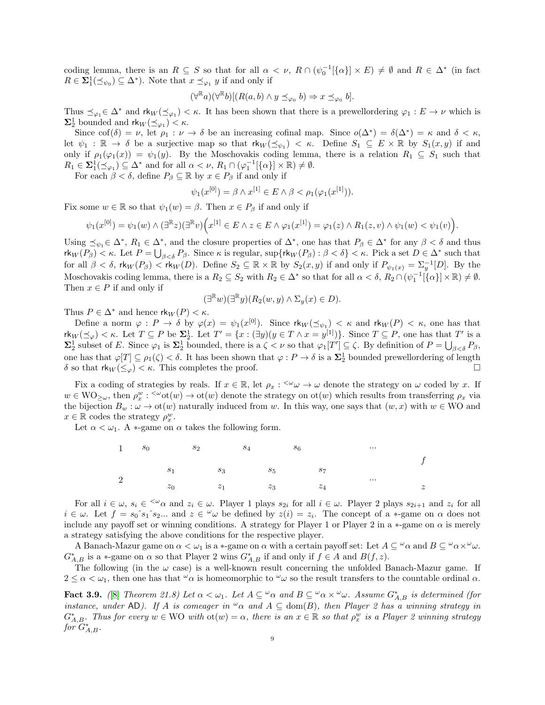coding lemma, there is an  $R \subseteq S$  so that for all  $\alpha < \nu$ ,  $R \cap (\psi_0^{-1}[\{\alpha\}] \times E) \neq \emptyset$  and  $R \in \Delta^*$  (in fact  $R \in \Sigma_1^1(\preceq_{\psi_0}) \subseteq \Delta^*$ ). Note that  $x \preceq_{\varphi_1} y$  if and only if

$$
(\forall^{\mathbb{R}} a)(\forall^{\mathbb{R}} b)[(R(a,b)\wedge y\preceq_{\varphi_0} b)\Rightarrow x\preceq_{\varphi_0} b].
$$

Thus  $\preceq_{\varphi_1} \in \Delta^*$  and  $\mathsf{rk}_W(\preceq_{\varphi_1}) < \kappa$ . It has been shown that there is a prewellordering  $\varphi_1 : E \to \nu$  which is  $\Sigma_2^1$  bounded and  $\mathsf{rk}_W(\preceq_{\varphi_1}) < \kappa$ .

Since  $\text{cof}(\delta) = \nu$ , let  $\rho_1 : \nu \to \delta$  be an increasing cofinal map. Since  $o(\Delta^*) = \delta(\Delta^*) = \kappa$  and  $\delta < \kappa$ , let  $\psi_1 : \mathbb{R} \to \delta$  be a surjective map so that  $rk_W(\preceq_{\psi_1}) < \kappa$ . Define  $S_1 \subseteq E \times \mathbb{R}$  by  $S_1(x, y)$  if and only if  $\rho_1(\varphi_1(x)) = \psi_1(y)$ . By the Moschovakis coding lemma, there is a relation  $R_1 \subseteq S_1$  such that  $R_1 \in \Sigma_1^1(\preceq_{\varphi_1}) \subseteq \Delta^*$  and for all  $\alpha < \nu$ ,  $R_1 \cap (\varphi_1^{-1}[\{\alpha\}] \times \mathbb{R}) \neq \emptyset$ .

For each  $\beta < \delta$ , define  $P_{\beta} \subseteq \mathbb{R}$  by  $x \in P_{\beta}$  if and only if

$$
\psi_1(x^{[0]}) = \beta \wedge x^{[1]} \in E \wedge \beta < \rho_1(\varphi_1(x^{[1]})).
$$

Fix some  $w \in \mathbb{R}$  so that  $\psi_1(w) = \beta$ . Then  $x \in P_\beta$  if and only if

$$
\psi_1(x^{[0]}) = \psi_1(w) \wedge (\exists^{\mathbb{R}} z)(\exists^{\mathbb{R}} v)\Big(x^{[1]} \in E \wedge z \in E \wedge \varphi_1(x^{[1]}) = \varphi_1(z) \wedge R_1(z,v) \wedge \psi_1(w) < \psi_1(v)\Big).
$$

Using  $\preceq_{\psi_1} \in \Delta^*$ ,  $R_1 \in \Delta^*$ , and the closure properties of  $\Delta^*$ , one has that  $P_\beta \in \Delta^*$  for any  $\beta < \delta$  and thus  $\mathsf{rk}_W(P_\beta) < \kappa$ . Let  $P = \bigcup_{\beta < \delta} P_\beta$ . Since  $\kappa$  is regular,  $\sup \{ \mathsf{rk}_W(P_\beta) : \beta < \delta \} < \kappa$ . Pick a set  $D \in \Delta^*$  such that for all  $\beta < \delta$ ,  $\kappa_W(P_\beta) < \kappa_W(D)$ . Define  $S_2 \subseteq \mathbb{R} \times \mathbb{R}$  by  $S_2(x, y)$  if and only if  $P_{\psi_1(x)} = \sum_{y=1}^{-1}[D]$ . By the Moschovakis coding lemma, there is a  $R_2 \subseteq S_2$  with  $R_2 \in \Delta^*$  so that for all  $\alpha < \delta$ ,  $R_2 \cap (\psi_1^{-1}[\{\alpha\}] \times \mathbb{R}) \neq \emptyset$ . Then  $x\in P$  if and only if

$$
(\exists^{\mathbb{R}} w)(\exists^{\mathbb{R}} y)(R_2(w, y) \wedge \Sigma_y(x) \in D).
$$

Thus  $P \in \Delta^*$  and hence  $\mathsf{rk}_W(P) < \kappa$ .

Define a norm  $\varphi: P \to \delta$  by  $\varphi(x) = \psi_1(x^{[0]})$ . Since  $\mathsf{rk}_W(\preceq_{\psi_1}) < \kappa$  and  $\mathsf{rk}_W(P) < \kappa$ , one has that  $\mathsf{rk}_W(\preceq_\varphi) < \kappa$ . Let  $T \subseteq P$  be  $\Sigma_2^1$ . Let  $T' = \{x : (\exists y)(y \in T \land x = y^{[1]})\}$ . Since  $T \subseteq P$ , one has that  $T'$  is a  $\Sigma_2^1$  subset of E. Since  $\varphi_1$  is  $\Sigma_2^1$  bounded, there is a  $\zeta < \nu$  so that  $\varphi_1[T'] \subseteq \zeta$ . By definition of  $P = \bigcup_{\beta < \delta} P_\beta$ , one has that  $\varphi[T] \subseteq \rho_1(\zeta) < \delta$ . It has been shown that  $\varphi: P \to \delta$  is a  $\Sigma_2^1$  bounded prewellordering of length δ so that  $\mathsf{rk}_W(\leq_\varphi) < \kappa$ . This completes the proof.

Fix a coding of strategies by reals. If  $x \in \mathbb{R}$ , let  $\rho_x : \langle \omega \rangle \to \omega$  denote the strategy on  $\omega$  coded by x. If  $w \in \text{WO}_{\geq \omega}$ , then  $\rho_x^w : \leq^{\omega} \text{ot}(w) \to \text{ot}(w)$  denote the strategy on  $\text{ot}(w)$  which results from transferring  $\rho_x$  via the bijection  $B_w : \omega \to \text{ot}(w)$  naturally induced from w. In this way, one says that  $(w, x)$  with  $w \in WO$  and  $x \in \mathbb{R}$  codes the strategy  $\rho_x^w$ .

Let  $\alpha < \omega_1$ . A  $*$ -game on  $\alpha$  takes the following form.



For all  $i \in \omega$ ,  $s_i \in \infty$  and  $z_i \in \omega$ . Player 1 plays  $s_{2i}$  for all  $i \in \omega$ . Player 2 plays  $s_{2i+1}$  and  $z_i$  for all  $i \in \omega$ . Let  $f = s_0$ <sup>o</sup>s<sub>1</sub><sup>o</sup>s<sub>2</sub>... and  $z \in \omega$  be defined by  $z(i) = z_i$ . The concept of a \*-game on  $\alpha$  does not include any payoff set or winning conditions. A strategy for Player 1 or Player 2 in a  $*$ -game on  $\alpha$  is merely a strategy satisfying the above conditions for the respective player.

A Banach-Mazur game on  $\alpha < \omega_1$  is a ∗-game on  $\alpha$  with a certain payoff set: Let  $A \subseteq {}^{\omega}\alpha$  and  $B \subseteq {}^{\omega}\alpha \times {}^{\omega}\omega$ .  $G_{A,B}^*$  is a \*-game on  $\alpha$  so that Player 2 wins  $G_{A,B}^*$  if and only if  $f \in A$  and  $B(f, z)$ .

The following (in the  $\omega$  case) is a well-known result concerning the unfolded Banach-Mazur game. If  $2 \leq \alpha < \omega_1$ , then one has that  $\omega_\alpha$  is homeomorphic to  $\omega_\alpha$  so the result transfers to the countable ordinal  $\alpha$ .

<span id="page-8-0"></span>**Fact 3.9.** ([\[8\]](#page-12-11) Theorem 21.8) Let  $\alpha < \omega_1$ . Let  $A \subseteq \alpha \alpha$  and  $B \subseteq \alpha \alpha \times \alpha \omega$ . Assume  $G_{A,B}^*$  is determined (for instance, under AD). If A is comeager in  $\infty$  and  $A \subseteq \text{dom}(B)$ , then Player 2 has a winning strategy in  $G_{A,B}^*$ . Thus for every  $w \in WO$  with  $\text{ot}(w) = \alpha$ , there is an  $x \in \mathbb{R}$  so that  $\rho_x^w$  is a Player 2 winning strategy  $\it for' G^*_{A,B}.$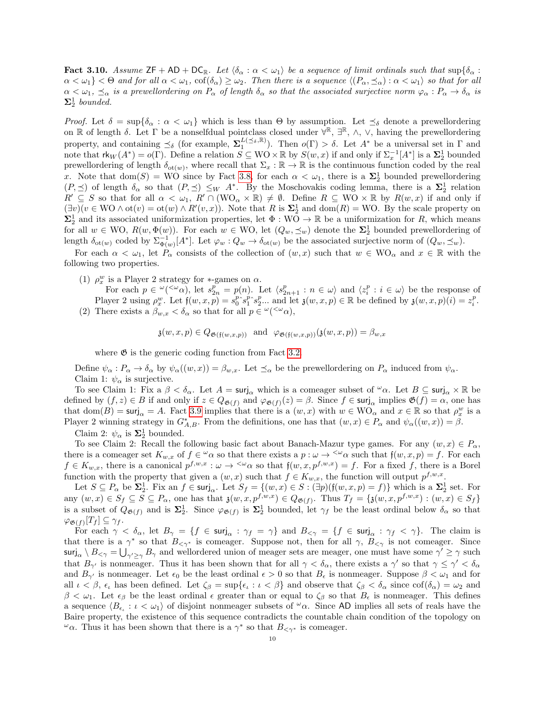<span id="page-9-0"></span>**Fact 3.10.** Assume  $ZF + AD + DC_R$ . Let  $\langle \delta_{\alpha} : \alpha < \omega_1 \rangle$  be a sequence of limit ordinals such that  $\sup{\delta_{\alpha}}$ :  $\alpha < \omega_1$   $\leq \Theta$  and for all  $\alpha < \omega_1$ ,  $\operatorname{cof}(\delta_\alpha) \geq \omega_2$ . Then there is a sequence  $\langle (P_\alpha, \preceq_\alpha) : \alpha < \omega_1 \rangle$  so that for all  $\alpha < \omega_1$ ,  $\leq_\alpha$  is a prewellordering on  $P_\alpha$  of length  $\delta_\alpha$  so that the associated surjective norm  $\varphi_\alpha: P_\alpha \to \delta_\alpha$  is  $\Sigma^1_2$  bounded.

Proof. Let  $\delta = \sup\{\delta_\alpha : \alpha < \omega_1\}$  which is less than  $\Theta$  by assumption. Let  $\preceq_\delta$  denote a prewellordering on  $\mathbb R$  of length  $\delta$ . Let  $\Gamma$  be a nonselfdual pointclass closed under  $\bar{\forall}^{\mathbb R}$ ,  $\exists^{\mathbb R}$ ,  $\wedge$ ,  $\vee$ , having the prewellordering property, and containing  $\preceq_{\delta}$  (for example,  $\Sigma_1^{L(\preceq_{\delta}, \mathbb{R})}$ ). Then  $o(\Gamma) > \delta$ . Let  $A^*$  be a universal set in  $\Gamma$  and note that  $\mathsf{rk}_W(A^*) = o(\Gamma)$ . Define a relation  $\overline{S} \subseteq WO \times \mathbb{R}$  by  $S(w, x)$  if and only if  $\Sigma_x^{-1}[A^*]$  is a  $\Sigma_2^1$  bounded prewellordering of length  $\delta_{\text{ot}(w)}$ , where recall that  $\Sigma_x : \mathbb{R} \to \mathbb{R}$  is the continuous function coded by the real x. Note that  $dom(S) = WO$  since by Fact [3.8,](#page-7-1) for each  $\alpha < \omega_1$ , there is a  $\Sigma_2^1$  bounded prewellordering  $(P, \preceq)$  of length  $\delta_{\alpha}$  so that  $(P, \preceq) \leq_W A^*$ . By the Moschovakis coding lemma, there is a  $\Sigma_2^1$  relation  $R' \subseteq S$  so that for all  $\alpha < \omega_1$ ,  $R' \cap (WO_\alpha \times \mathbb{R}) \neq \emptyset$ . Define  $R \subseteq WO \times \mathbb{R}$  by  $R(w, x)$  if and only if  $(\exists v)(v \in \mathbb{W}\mathbb{O} \wedge \mathop{\mathrm{ot}}(v) = \mathop{\mathrm{ot}}(w) \wedge R'(v,x))$ . Note that R is  $\Sigma_2^1$  and  $\mathop{\mathrm{dom}}(R) = \mathbb{W}\mathbb{O}$ . By the scale property on  $\Sigma_2^1$  and its associated uniformization properties, let  $\Phi: \overline{WO} \to \mathbb{R}$  be a uniformization for R, which means for all  $w \in WO, R(w, \Phi(w))$ . For each  $w \in WO$ , let  $(Q_w, \preceq_w)$  denote the  $\Sigma_2^1$  bounded prewellordering of length  $\delta_{\text{ot}(w)}$  coded by  $\Sigma_{\Phi(w)}^{-1}[A^*]$ . Let  $\varphi_w: Q_w \to \delta_{\text{ot}(w)}$  be the associated surjective norm of  $(Q_w, \preceq_w)$ .

For each  $\alpha < \omega_1$ , let  $P_\alpha$  consists of the collection of  $(w, x)$  such that  $w \in WO_\alpha$  and  $x \in \mathbb{R}$  with the following two properties.

- (1)  $\rho_{x}^{w}$  is a Player 2 strategy for  $*$ -games on  $\alpha$ .
- For each  $p \in \omega^{(<\omega_{\alpha})}$ , let  $s_{2n}^p = p(n)$ . Let  $\langle s_{2n+1}^p : n \in \omega \rangle$  and  $\langle z_i^p : i \in \omega \rangle$  be the response of Player 2 using  $\rho_x^w$ . Let  $f(w, x, p) = s_0^{p^*} s_1^{p^*} s_2^p \dots$  and let  $\mathfrak{z}(w, x, p) \in \mathbb{R}$  be defined by  $\mathfrak{z}(w, x, p)(i) = z_i^p$ . (2) There exists a  $\beta_{w,x} < \delta_\alpha$  so that for all  $p \in \alpha^{(<\omega_\alpha)}$ ,

$$
\mathfrak{z}(w,x,p) \in Q_{\mathfrak{G}(\mathfrak{f}(w,x,p))}
$$
 and  $\varphi_{\mathfrak{G}(\mathfrak{f}(w,x,p))}(\mathfrak{z}(w,x,p)) = \beta_{w,x}$ 

where  $\mathfrak G$  is the generic coding function from Fact [3.2.](#page-5-1)

Define  $\psi_{\alpha}: P_{\alpha} \to \delta_{\alpha}$  by  $\psi_{\alpha}((w, x)) = \beta_{w, x}$ . Let  $\preceq_{\alpha}$  be the prewellordering on  $P_{\alpha}$  induced from  $\psi_{\alpha}$ . Claim 1:  $\psi_{\alpha}$  is surjective.

To see Claim 1: Fix a  $\beta < \delta_{\alpha}$ . Let  $A = \text{surj}_{\alpha}$  which is a comeager subset of  $\alpha$ . Let  $B \subseteq \text{surj}_{\alpha} \times \mathbb{R}$  be defined by  $(f, z) \in B$  if and only if  $z \in Q_{\mathfrak{G}(f)}$  and  $\varphi_{\mathfrak{G}(f)}(z) = \beta$ . Since  $f \in \mathsf{surj}_{\alpha}$  implies  $\mathfrak{G}(f) = \alpha$ , one has that  $dom(B) = \text{surj}_{\alpha} = A$ . Fact [3.9](#page-8-0) implies that there is a  $(w, x)$  with  $w \in WO_{\alpha}$  and  $x \in \mathbb{R}$  so that  $\rho_x^w$  is a Player 2 winning strategy in  $G_{A,B}^*$ . From the definitions, one has that  $(w, x) \in P_\alpha$  and  $\psi_\alpha((w, x)) = \beta$ .

Claim 2:  $\psi_{\alpha}$  is  $\Sigma_2^1$  bounded.

To see Claim 2: Recall the following basic fact about Banach-Mazur type games. For any  $(w, x) \in P_\alpha$ , there is a comeager set  $K_{w,x}$  of  $f \in {}^{\omega} \alpha$  so that there exists a  $p : \omega \to {}^{\langle \omega} \alpha$  such that  $f(w, x, p) = f$ . For each  $f \in K_{w,x}$ , there is a canonical  $p^{f,w,x}: \omega \to \langle^{\omega} \alpha \rangle$  so that  $f(w,x,p^{f,w,x}) = f$ . For a fixed f, there is a Borel function with the property that given a  $(w, x)$  such that  $f \in K_{w,x}$ , the function will output  $p^{f,w,x}$ .

Let  $S \subseteq P_\alpha$  be  $\Sigma^1_2$ . Fix an  $f \in \mathsf{surj}_\alpha$ . Let  $S_f = \{(w, x) \in S : (\exists p)(f(w, x, p) = f)\}\$  which is a  $\Sigma^1_2$  set. For any  $(w, x) \in S_f \subseteq S \subseteq P_\alpha$ , one has that  $\mathfrak{z}(w, x, p^{f,w,x}) \in Q_{\mathfrak{G}(f)}$ . Thus  $T_f = \{\mathfrak{z}(w, x, p^{f,w,x}) : (w, x) \in S_f\}$ is a subset of  $Q_{\mathfrak{G}(f)}$  and is  $\Sigma^1_2$ . Since  $\varphi_{\mathfrak{G}(f)}$  is  $\Sigma^1_2$  bounded, let  $\gamma_f$  be the least ordinal below  $\delta_{\alpha}$  so that  $\varphi_{\mathfrak{G}(f)}[T_f] \subseteq \gamma_f.$ 

For each  $\gamma < \delta_{\alpha}$ , let  $B_{\gamma} = \{f \in \text{surj}_{\alpha} : \gamma_f = \gamma\}$  and  $B_{\leq \gamma} = \{f \in \text{surj}_{\alpha} : \gamma_f < \gamma\}$ . The claim is that there is a  $\gamma^*$  so that  $B_{\leq \gamma^*}$  is comeager. Suppose not, then for all  $\gamma$ ,  $B_{\leq \gamma}$  is not comeager. Since  $\textsf{surj}_{\alpha} \setminus B_{\leq \gamma} = \bigcup_{\gamma' \geq \gamma} B_{\gamma}$  and wellordered union of meager sets are meager, one must have some  $\gamma' \geq \gamma$  such that  $B_{\gamma'}$  is nonmeager. Thus it has been shown that for all  $\gamma < \delta_{\alpha}$ , there exists a  $\gamma'$  so that  $\gamma \leq \gamma' < \delta_{\alpha}$ and  $B_{\gamma'}$  is nonmeager. Let  $\epsilon_0$  be the least ordinal  $\epsilon > 0$  so that  $B_{\epsilon}$  is nonmeager. Suppose  $\beta < \omega_1$  and for all  $\iota < \beta$ ,  $\epsilon_i$  has been defined. Let  $\zeta_\beta = \sup{\{\epsilon_i : \iota < \beta\}}$  and observe that  $\zeta_\beta < \delta_\alpha$  since  $\text{cof}(\delta_\alpha) = \omega_2$  and  $\beta < \omega_1$ . Let  $\epsilon_{\beta}$  be the least ordinal  $\epsilon$  greater than or equal to  $\zeta_{\beta}$  so that  $B_{\epsilon}$  is nonmeager. This defines a sequence  $\langle B_{\epsilon_i} : \iota < \omega_1 \rangle$  of disjoint nonmeager subsets of  $\omega_\alpha$ . Since AD implies all sets of reals have the Baire property, the existence of this sequence contradicts the countable chain condition of the topology on  $\omega_{\alpha}$ . Thus it has been shown that there is a  $\gamma^*$  so that  $B_{\leq \gamma^*}$  is comeager.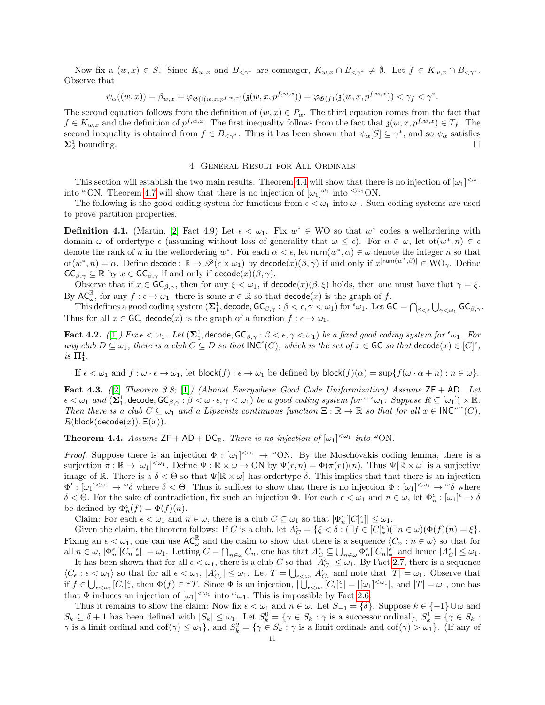Now fix a  $(w, x) \in S$ . Since  $K_{w, x}$  and  $B_{\leq \gamma^*}$  are comeager,  $K_{w, x} \cap B_{\leq \gamma^*} \neq \emptyset$ . Let  $f \in K_{w, x} \cap B_{\leq \gamma^*}$ . Observe that

$$
\psi_{\alpha}((w,x)) = \beta_{w,x} = \varphi_{\mathfrak{G}(\mathfrak{f}(w,x,p^{f,w,x})}(\mathfrak{z}(w,x,p^{f,w,x})) = \varphi_{\mathfrak{G}(f)}(\mathfrak{z}(w,x,p^{f,w,x})) < \gamma_f < \gamma^*.
$$

The second equation follows from the definition of  $(w, x) \in P_\alpha$ . The third equation comes from the fact that  $f \in K_{w,x}$  and the definition of  $p^{f,w,x}$ . The first inequality follows from the fact that  $\mathfrak{z}(w, x, p^{f,w,x}) \in T_f$ . The second inequality is obtained from  $f \in B_{\leq \gamma^*}$ . Thus it has been shown that  $\psi_\alpha[S] \subseteq \gamma^*$ , and so  $\psi_\alpha$  satisfies  $\Sigma^1_2$  bounding.  $\frac{1}{2}$  bounding.

### 4. General Result for All Ordinals

This section will establish the two main results. Theorem [4.4](#page-10-0) will show that there is no injection of  $[\omega_1]^{<\omega_1}$ into  $\omega$ ON. Theorem [4.7](#page-12-2) will show that there is no injection of  $[\omega_1]^{\omega_1}$  into  $\langle \omega_1$ ON.

The following is the good coding system for functions from  $\epsilon < \omega_1$  into  $\omega_1$ . Such coding systems are used to prove partition properties.

**Definition 4.1.** (Martin, [\[2\]](#page-12-5) Fact 4.9) Let  $\epsilon < \omega_1$ . Fix  $w^* \in WO$  so that  $w^*$  codes a wellordering with domain  $\omega$  of ordertype  $\epsilon$  (assuming without loss of generality that  $\omega \leq \epsilon$ ). For  $n \in \omega$ , let ot $(w^*, n) \in \epsilon$ denote the rank of n in the wellordering  $w^*$ . For each  $\alpha < \epsilon$ , let  $\text{num}(w^*, \alpha) \in \omega$  denote the integer n so that  $\mathrm{ot}(w^*, n) = \alpha$ . Define decode :  $\mathbb{R} \to \mathscr{P}(\epsilon \times \omega_1)$  by decode $(x)(\beta, \gamma)$  if and only if  $x^{[num(w^*, \beta)]} \in \mathrm{WO}_{\gamma}$ . Define  $\mathsf{GC}_{\beta,\gamma} \subseteq \mathbb{R}$  by  $x \in \mathsf{GC}_{\beta,\gamma}$  if and only if  $\mathsf{decode}(x)(\beta,\gamma)$ .

Observe that if  $x \in \mathsf{GC}_{\beta,\gamma}$ , then for any  $\xi < \omega_1$ , if  $\mathsf{decode}(x)(\beta,\xi)$  holds, then one must have that  $\gamma = \xi$ . By  $AC_{\omega}^{\mathbb{R}}$ , for any  $f : \epsilon \to \omega_1$ , there is some  $x \in \mathbb{R}$  so that  $\text{decode}(x)$  is the graph of f.

This defines a good coding system  $(\mathbf{\Sigma}_1^1, \text{decode}, \text{GC}_{\beta, \gamma}: \beta < \epsilon, \gamma < \omega_1)$  for  ${}^{\epsilon}\omega_1$ . Let  $\mathsf{GC} = \bigcap_{\beta < \epsilon} \bigcup_{\gamma < \omega_1} \mathsf{GC}_{\beta, \gamma}$ . Thus for all  $x \in \mathsf{GC}$ , decode $(x)$  is the graph of a function  $f : \epsilon \to \omega_1$ .

<span id="page-10-2"></span>Fact 4.2. ([\[1\]](#page-12-12)) Fix  $\epsilon < \omega_1$ . Let  $(\mathbf{\Sigma}_1^1, \text{decode}, \mathsf{GC}_{\beta, \gamma}: \beta < \epsilon, \gamma < \omega_1)$  be a fixed good coding system for  ${}^{\epsilon}\omega_1$ . For any club  $D \subseteq \omega_1$ , there is a club  $C \subseteq D$  so that  $\mathsf{INC}^{\epsilon}(C)$ , which is the set of  $x \in \mathsf{GC}$  so that  $\mathsf{decode}(x) \in [C]^{\epsilon}$ , is  $\Pi^1_1$ .

If  $\epsilon < \omega_1$  and  $f : \omega \cdot \epsilon \to \omega_1$ , let block $(f) : \epsilon \to \omega_1$  be defined by block $(f)(\alpha) = \sup\{f(\omega \cdot \alpha + n) : n \in \omega\}$ .

<span id="page-10-1"></span>Fact 4.3. ([\[2\]](#page-12-5) Theorem 3.8; [\[1\]](#page-12-12)) (Almost Everywhere Good Code Uniformization) Assume  $ZF + AD$ . Let  $\epsilon < \omega_1$  and  $(\Sigma_1^1, \text{decode}, \text{GC}_{\beta, \gamma}: \beta < \omega \cdot \epsilon, \gamma < \omega_1)$  be a good coding system for  ${}^{\omega \cdot \epsilon} \omega_1$ . Suppose  $R \subseteq [\omega_1]_*^{\epsilon} \times \mathbb{R}$ . Then there is a club  $C \subseteq \omega_1$  and a Lipschitz continuous function  $\Xi : \mathbb{R} \to \mathbb{R}$  so that for all  $x \in {\sf INC}^{\omega \cdot \epsilon}(C)$ ,  $R(\text{block}(\text{decode}(x)), \Xi(x)).$ 

<span id="page-10-0"></span>**Theorem 4.4.** Assume  $ZF + AD + DC_{\mathbb{R}}$ . There is no injection of  $[\omega_1]^{<\omega_1}$  into  $^{\omega}ON$ .

*Proof.* Suppose there is an injection  $\Phi : [\omega_1]^{<\omega_1} \to {}^{\omega}ON$ . By the Moschovakis coding lemma, there is a surjection  $\pi : \mathbb{R} \to [\omega_1]^{<\omega_1}$ . Define  $\Psi : \mathbb{R} \times \omega \to ON$  by  $\Psi(r,n) = \Phi(\pi(r))(n)$ . Thus  $\Psi[\mathbb{R} \times \omega]$  is a surjective image of R. There is a  $\delta < \Theta$  so that  $\Psi[\mathbb{R} \times \omega]$  has ordertype  $\delta$ . This implies that that there is an injection  $\Phi' : [\omega_1]^{<\omega_1} \to {}^{\omega}\delta$  where  $\delta < \Theta$ . Thus it suffices to show that there is no injection  $\Phi : [\omega_1]^{<\omega_1} \to {}^{\omega}\delta$  where  $\delta < \Theta$ . For the sake of contradiction, fix such an injection  $\Phi$ . For each  $\epsilon < \omega_1$  and  $n \in \omega$ , let  $\Phi_n^{\epsilon} : [\omega_1]^{\epsilon} \to \delta$ be defined by  $\Phi_n^{\epsilon}(f) = \Phi(f)(n)$ .

Claim: For each  $\epsilon < \omega_1$  and  $n \in \omega$ , there is a club  $C \subseteq \omega_1$  so that  $|\Phi_n^{\epsilon}[[C_{\epsilon}^{\epsilon}]| \leq \omega_1$ .

Given the claim, the theorem follows: If C is a club, let  $A_C^{\epsilon} = \{ \xi < \delta : (\exists f \in [C]_{*}^{\epsilon}) (\exists n \in \omega) (\Phi(f)(n) = \xi \}.$ Fixing an  $\epsilon < \omega_1$ , one can use  $AC_{\omega}^{\mathbb{R}}$  and the claim to show that there is a sequence  $\langle C_n : n \in \omega \rangle$  so that for all  $n \in \omega$ ,  $|\Phi_n^{\epsilon}[[C_n]_{*}^{\epsilon}]| = \omega_1$ . Letting  $C = \bigcap_{n \in \omega} C_n$ , one has that  $A_C^{\epsilon} \subseteq \bigcup_{n \in \omega} \Phi_n^{\epsilon}[[C_n]_{*}^{\epsilon}]$  and hence  $|A_C^{\epsilon}| \leq \omega_1$ .

It has been shown that for all  $\epsilon < \omega_1$ , there is a club C so that  $|A_C^{\epsilon}| \leq \omega_1$ . By Fact [2.7,](#page-3-2) there is a sequence  $\langle C_{\epsilon} : \epsilon < \omega_1 \rangle$  so that for all  $\epsilon < \omega_1$ ,  $|A_{C_{\epsilon}}^{\epsilon}| \leq \omega_1$ . Let  $T = \bigcup_{\epsilon < \omega_1} A_{C_{\epsilon}}^{\epsilon}$  and note that  $|T| = \omega_1$ . Observe that if  $f \in \bigcup_{\epsilon < \omega_1} [C_{\epsilon}]^{\epsilon}_{*}$ , then  $\Phi(f) \in {}^{\omega}T$ . Since  $\Phi$  is an injection,  $|\bigcup_{\epsilon < \omega_1} [C_{\epsilon}]^{\epsilon}_{*}| = |[\omega_1]^{<\omega_1}|$ , and  $|T| = \omega_1$ , one has that  $\Phi$  induces an injection of  $[\omega_1]^{<\omega_1}$  into  $\omega_1$ . This is impossible by Fact [2.6.](#page-3-0)

Thus it remains to show the claim: Now fix  $\epsilon < \omega_1$  and  $n \in \omega$ . Let  $S_{-1} = \{\delta\}$ . Suppose  $k \in \{-1\} \cup \omega$  and  $S_k \subseteq \delta + 1$  has been defined with  $|S_k| \leq \omega_1$ . Let  $S_k^0 = \{ \gamma \in S_k : \gamma \text{ is a successor ordinal} \}, S_k^1 = \{ \gamma \in S_k : \gamma \text{ is a successor ordinal} \}$  $\gamma$  is a limit ordinal and cof( $\gamma$ )  $\leq \omega_1$ , and  $S_k^2 = {\gamma \in S_k : \gamma$  is a limit ordinals and cof( $\gamma$ )  $> \omega_1$ . (If any of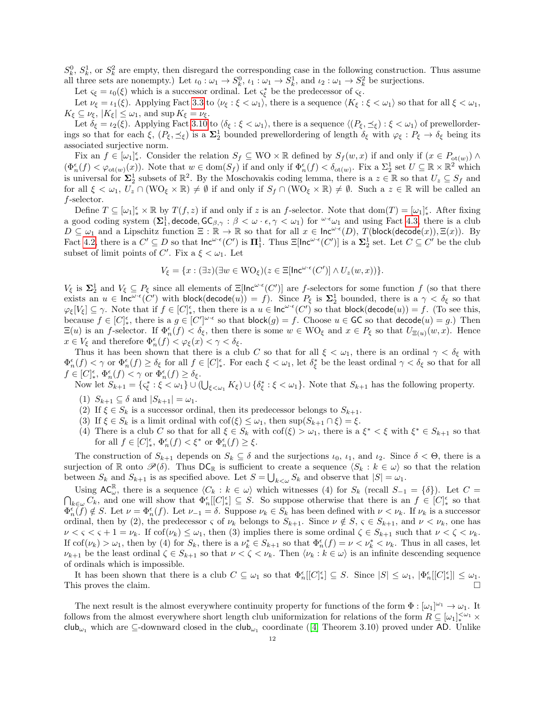$S_k^0$ ,  $S_k^1$ , or  $S_k^2$  are empty, then disregard the corresponding case in the following construction. Thus assume all three sets are nonempty.) Let  $\iota_0 : \omega_1 \to S_k^0$ ,  $\iota_1 : \omega_1 \to S_k^1$ , and  $\iota_2 : \omega_1 \to S_k^2$  be surjections.

Let  $\varsigma_{\xi} = \iota_0(\xi)$  which is a successor ordinal. Let  $\varsigma_{\xi}^*$  be the predecessor of  $\varsigma_{\xi}$ .

Let  $\nu_{\xi} = \iota_1(\xi)$ . Applying Fact [3.3](#page-5-0) to  $\langle \nu_{\xi} : \xi < \omega_1 \rangle$ , there is a sequence  $\langle K_{\xi} : \xi < \omega_1 \rangle$  so that for all  $\xi < \omega_1$ ,  $K_{\xi} \subseteq \nu_{\xi}, |K_{\xi}| \leq \omega_1$ , and sup  $K_{\xi} = \nu_{\xi}$ .

Let  $\delta_{\xi} = \iota_2(\xi)$ . Applying Fact [3.10](#page-9-0) to  $\langle \delta_{\xi} : \xi < \omega_1 \rangle$ , there is a sequence  $\langle (P_{\xi}, \preceq_{\xi}) : \xi < \omega_1 \rangle$  of prewellorderings so that for each  $\xi$ ,  $(P_{\xi}, \preceq_{\xi})$  is a  $\Sigma_2^1$  bounded prewellordering of length  $\delta_{\xi}$  with  $\varphi_{\xi}: P_{\xi} \to \delta_{\xi}$  being its associated surjective norm.

Fix an  $f \in [\omega_1]_*^{\epsilon}$ . Consider the relation  $S_f \subseteq WO \times \mathbb{R}$  defined by  $S_f(w, x)$  if and only if  $(x \in P_{ot(w)}) \wedge$  $(\Phi_n^{\epsilon}(f) < \varphi_{\text{ot}(w)}(x))$ . Note that  $w \in \text{dom}(S_f)$  if and only if  $\Phi_n^{\epsilon}(f) < \delta_{\text{ot}(w)}$ . Fix a  $\Sigma_2^1$  set  $U \subseteq \mathbb{R} \times \mathbb{R}^2$  which is universal for  $\Sigma_2^1$  subsets of  $\mathbb{R}^2$ . By the Moschovakis coding lemma, there is a  $z \in \mathbb{R}$  so that  $U_z \subseteq S_f$  and for all  $\xi < \omega_1, U_z \cap (WO_{\xi} \times \mathbb{R}) \neq \emptyset$  if and only if  $S_f \cap (WO_{\xi} \times \mathbb{R}) \neq \emptyset$ . Such a  $z \in \mathbb{R}$  will be called an f-selector.

Define  $T \subseteq [\omega_1]_*^{\epsilon} \times \mathbb{R}$  by  $T(f, z)$  if and only if z is an f-selector. Note that  $dom(T) = [\omega_1]_*^{\epsilon}$ . After fixing a good coding system  $(\Sigma_1^1, \text{decode}, \text{GC}_{\beta, \gamma}: \beta < \omega \cdot \epsilon, \gamma < \omega_1)$  for  $\omega \cdot \epsilon \omega_1$  and using Fact [4.3,](#page-10-1) there is a club  $D \subseteq \omega_1$  and a Lipschitz function  $\Xi : \mathbb{R} \to \mathbb{R}$  so that for all  $x \in \text{Inc}^{\omega \cdot \epsilon}(D)$ ,  $T(\text{block}(\text{decode}(x)), \Xi(x))$ . By Fact [4.2,](#page-10-2) there is a  $C' \subseteq D$  so that  $\mathsf{Inc}^{\omega \cdot \epsilon}(C')$  is  $\Pi_1^1$ . Thus  $\Xi[\mathsf{Inc}^{\omega \cdot \epsilon}(C')]$  is a  $\Sigma_2^1$  set. Let  $C \subseteq C'$  be the club subset of limit points of C'. Fix a  $\xi < \omega_1$ . Let

$$
V_{\xi} = \{x : (\exists z)(\exists w \in \mathrm{WO}_{\xi})(z \in \Xi[\mathsf{Inc}^{\omega \cdot \epsilon}(C')] \wedge U_z(w, x))\}.
$$

 $V_{\xi}$  is  $\Sigma_2^1$  and  $V_{\xi} \subseteq P_{\xi}$  since all elements of  $\Xi[\text{Inc}^{\omega \cdot \epsilon}(C')]$  are f-selectors for some function f (so that there exists an  $u \in \text{Inc}^{\omega \cdot \epsilon}(\mathcal{C}')$  with block(decode $(u)) = f$ ). Since  $P_{\xi}$  is  $\Sigma_2^1$  bounded, there is a  $\gamma < \delta_{\xi}$  so that  $\varphi_{\xi}[V_{\xi}] \subseteq \gamma$ . Note that if  $f \in [C]_{*}^{\epsilon}$ , then there is a  $u \in \text{Inc}^{\omega \cdot \epsilon}(C')$  so that block(decode(u)) = f. (To see this, because  $f \in [C]_*^{\epsilon}$ , there is a  $g \in [C']^{\omega \cdot \epsilon}$  so that block $(g) = f$ . Choose  $u \in \mathsf{GC}$  so that decode $(u) = g$ .) Then  $\Xi(u)$  is an f-selector. If  $\Phi_n^{\epsilon}(f) < \delta_{\xi}$ , then there is some  $w \in \text{WO}_{\xi}$  and  $x \in P_{\xi}$  so that  $U_{\Xi(u)}(w, x)$ . Hence  $x \in V_{\xi}$  and therefore  $\Phi_n^{\epsilon}(f) < \varphi_{\xi}(x) < \gamma < \delta_{\xi}$ .

Thus it has been shown that there is a club C so that for all  $\xi < \omega_1$ , there is an ordinal  $\gamma < \delta_{\xi}$  with  $\Phi_n^{\epsilon}(f) < \gamma$  or  $\Phi_n^{\epsilon}(f) \geq \delta_{\xi}$  for all  $f \in [C]_{*}^{\epsilon}$ . For each  $\xi < \omega_1$ , let  $\delta_{\xi}^*$  be the least ordinal  $\gamma < \delta_{\xi}$  so that for all  $f \in [C]_*^{\epsilon}$ ,  $\Phi_n^{\epsilon}(f) < \gamma$  or  $\Phi_n^{\epsilon}(f) \ge \delta_{\xi}$ .

Now let  $S_{k+1} = \{ \varsigma_{\xi}^* : \xi < \omega_1 \} \cup (\bigcup_{\xi < \omega_1} K_{\xi}) \cup \{ \delta_{\xi}^* : \xi < \omega_1 \}.$  Note that  $S_{k+1}$  has the following property.

- (1)  $S_{k+1} \subseteq \delta$  and  $|S_{k+1}| = \omega_1$ .
- (2) If  $\xi \in S_k$  is a successor ordinal, then its predecessor belongs to<br>  $S_{k+1}.$
- (3) If  $\xi \in S_k$  is a limit ordinal with  $\text{cof}(\xi) \leq \omega_1$ , then  $\text{sup}(S_{k+1} \cap \xi) = \xi$ .
- (4) There is a club C so that for all  $\xi \in S_k$  with  $\text{cof}(\xi) > \omega_1$ , there is a  $\xi^* < \xi$  with  $\xi^* \in S_{k+1}$  so that for all  $f \in [C]_*^{\epsilon}$ ,  $\Phi_n^{\epsilon}(f) < \xi^*$  or  $\Phi_n^{\epsilon}(f) \geq \xi$ .

The construction of  $S_{k+1}$  depends on  $S_k \subseteq \delta$  and the surjections  $\iota_0, \iota_1$ , and  $\iota_2$ . Since  $\delta < \Theta$ , there is a surjection of R onto  $\mathscr{P}(\delta)$ . Thus  $\mathsf{DC}_{\mathbb{R}}$  is sufficient to create a sequence  $\langle S_k : k \in \omega \rangle$  so that the relation between  $S_k$  and  $S_{k+1}$  is as specified above. Let  $S = \bigcup_{k \leq \omega} S_k$  and observe that  $|S| = \omega_1$ .

Using  $AC_{\omega}^{\mathbb{R}}$ , there is a sequence  $\langle C_k : k \in \omega \rangle$  which witnesses (4) for  $S_k$  (recall  $S_{-1} = \{\delta\}$ ). Let  $C = \bigcap_{k \in \omega} C_k$ , and one will show that  $\Phi_n^{\epsilon}[|C_{\ast}^{\epsilon}] \subseteq S$ . So suppose otherwise that there is an  $f \in$  $_{k\in\omega}C_k$ , and one will show that  $\Phi_n^{\epsilon}[[C_{\infty}^{\epsilon}] \subseteq S$ . So suppose otherwise that there is an  $f \in [C]_{*}^{\epsilon}$  so that  $\Phi_n^{\epsilon}(f) \notin S$ . Let  $\nu = \Phi_n^{\epsilon}(f)$ . Let  $\nu_{-1} = \delta$ . Suppose  $\nu_k \in S_k$  has been defined with  $\nu < \nu_k$ . If  $\nu_k$  is a successor ordinal, then by (2), the predecessor  $\varsigma$  of  $\nu_k$  belongs to  $S_{k+1}$ . Since  $\nu \notin S$ ,  $\varsigma \in S_{k+1}$ , and  $\nu < \nu_k$ , one has  $\nu < \varsigma < \varsigma + 1 = \nu_k$ . If  $\text{cof}(\nu_k) \leq \omega_1$ , then (3) implies there is some ordinal  $\zeta \in S_{k+1}$  such that  $\nu < \zeta < \nu_k$ . If  $\text{cof}(\nu_k) > \omega_1$ , then by (4) for  $S_k$ , there is a  $\nu_k^* \in S_{k+1}$  so that  $\Phi_n^{\epsilon}(f) = \nu < \nu_k^* < \nu_k$ . Thus in all cases, let  $\nu_{k+1}$  be the least ordinal  $\zeta \in S_{k+1}$  so that  $\nu \leq \zeta \leq \nu_k$ . Then  $\langle \nu_k : k \in \omega \rangle$  is an infinite descending sequence of ordinals which is impossible.

It has been shown that there is a club  $C \subseteq \omega_1$  so that  $\Phi_n^{\epsilon}[[C_{\epsilon}^{\epsilon}] \subseteq S$ . Since  $|S| \leq \omega_1$ ,  $|\Phi_n^{\epsilon}[[C_{\epsilon}^{\epsilon}]| \leq \omega_1$ . This proves the claim.

The next result is the almost everywhere continuity property for functions of the form  $\Phi : [\omega_1]^{\omega_1} \to \omega_1$ . It follows from the almost everywhere short length club uniformization for relations of the form  $R \subseteq [\omega_1]_*^{\langle \omega_1 \times \mathbb{R}^3 \rangle}$ club<sub>ω1</sub>which are  $\subseteq$ -downward closed in the club<sub>ω1</sub> coordinate ([\[4\]](#page-12-3) Theorem 3.10) proved under AD. Unlike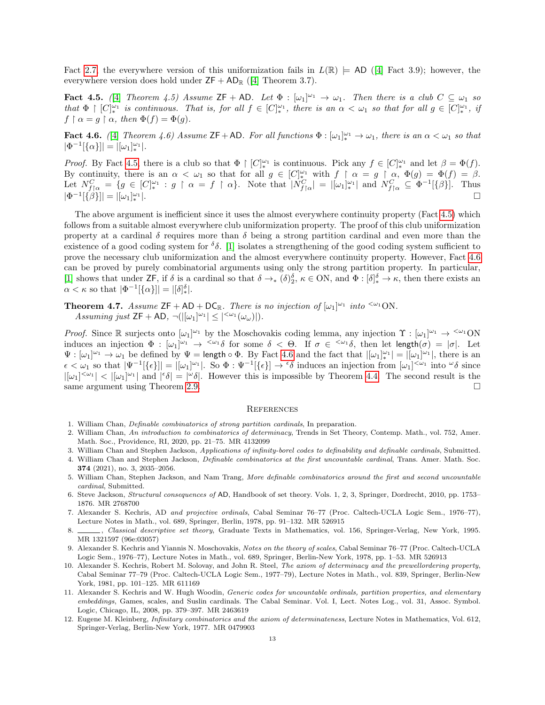Fact [2.7,](#page-3-2) the everywhere version of this uniformization fails in  $L(\mathbb{R}) \models$  AD ([\[4\]](#page-12-3) Fact 3.9); however, the everywhere version does hold under  $ZF + AD_R$  ([\[4\]](#page-12-3) Theorem 3.7).

<span id="page-12-13"></span>Fact 4.5. (4) Theorem 4.5) Assume  $\mathsf{ZF} + \mathsf{AD}$ . Let  $\Phi : [\omega_1]^{\omega_1} \to \omega_1$ . Then there is a club  $C \subseteq \omega_1$  so that  $\Phi \restriction [C_{\ast}^{|\omega_1|}]$  is continuous. That is, for all  $f \in [C_{\ast}^{|\omega_1|}]$ , there is an  $\alpha < \omega_1$  so that for all  $g \in [C_{\ast}^{|\omega_1|}]$ , if  $f \restriction \alpha = q \restriction \alpha$ , then  $\Phi(f) = \Phi(q)$ .

<span id="page-12-14"></span>**Fact 4.6.** ([\[4\]](#page-12-3) Theorem 4.6) Assume  $\mathsf{ZF}+\mathsf{AD}$ . For all functions  $\Phi: [\omega_1]_*^{\omega_1} \to \omega_1$ , there is an  $\alpha < \omega_1$  so that  $|\Phi^{-1}[\{\alpha\}]| = |[\omega_1]_*^{\omega_1}|.$ 

*Proof.* By Fact [4.5,](#page-12-13) there is a club so that  $\Phi \restriction [C]_*^{\omega_1}$  is continuous. Pick any  $f \in [C]_*^{\omega_1}$  and let  $\beta = \Phi(f)$ . By continuity, there is an  $\alpha < \omega_1$  so that for all  $g \in [C]_*^{\omega_1}$  with  $f \restriction \alpha = g \restriction \alpha$ ,  $\Phi(g) = \Phi(f) = \beta$ . Let  $N_{f\upharpoonright \alpha}^C = \{g \in [C]_{*}^{\omega_1} : g \upharpoonright \alpha = f \upharpoonright \alpha\}$ . Note that  $|N_{f\upharpoonright \alpha}^C| = |[\omega_1]_{*}^{\omega_1}|$  and  $N_{f\upharpoonright \alpha}^C \subseteq \Phi^{-1}[\{\beta\}]$ . Thus  $|\Phi^{-1}[\{\beta\}]| = |[\omega_1]_*^{\omega_1}$ |.

The above argument is inefficient since it uses the almost everywhere continuity property (Fact [4.5\)](#page-12-13) which follows from a suitable almost everywhere club uniformization property. The proof of this club uniformization property at a cardinal  $\delta$  requires more than  $\delta$  being a strong partition cardinal and even more than the existence of a good coding system for  $\delta\delta$ . [\[1\]](#page-12-12) isolates a strengthening of the good coding system sufficient to prove the necessary club uniformization and the almost everywhere continuity property. However, Fact [4.6](#page-12-14) can be proved by purely combinatorial arguments using only the strong partition property. In particular, [\[1\]](#page-12-12) shows that under  $\mathsf{ZF}$ , if  $\delta$  is a cardinal so that  $\delta \to_{\ast} (\delta)^{\delta}_{2}$ ,  $\kappa \in \mathbb{N}$ , and  $\Phi : [\delta]^{\delta}_{\ast} \to \kappa$ , then there exists an  $\alpha < \kappa$  so that  $|\Phi^{-1}[\{\alpha\}]| = |[\delta]_*^{\delta}|$ .

<span id="page-12-2"></span>**Theorem 4.7.** Assume  $ZF + AD + DC_R$ . There is no injection of  $[\omega_1]^{\omega_1}$  into  $\leq \omega_1 ON$ . Assuming just  $\mathsf{ZF} + \mathsf{AD}, \ \neg(|[\omega_1]^{\omega_1}| \leq |^{<\omega_1}(\omega_\omega)|).$ 

*Proof.* Since  $\mathbb R$  surjects onto  $[\omega_1]^{\omega_1}$  by the Moschovakis coding lemma, any injection  $\Upsilon : [\omega_1]^{\omega_1} \to {\langle \omega_1 \rangle}$ induces an injection  $\Phi : [\omega_1]^{\omega_1} \to {\langle \omega_1 \delta \rangle}$  for some  $\delta < \Theta$ . If  $\sigma \in {\langle \omega_1 \delta \rangle}$ , then let length $(\sigma) = |\sigma|$ . Let  $\Psi : [\omega_1]^{\omega_1} \to \omega_1$  be defined by  $\Psi = \text{length} \circ \Phi$ . By Fact [4.6](#page-12-14) and the fact that  $|[\omega_1]_{*}^{\omega_1}| = |[\omega_1]^{\omega_1}|$ , there is an  $\epsilon < \omega_1$  so that  $|\Psi^{-1}[\{\epsilon\}] = |[\omega_1]^{\omega_1}|$ . So  $\Phi : \Psi^{-1}[\{\epsilon\}] \to {}^{\epsilon}\delta$  induces an injection from  $[\omega_1]^{<\omega_1}$  into  ${}^{\omega}\delta$  since  $|[\omega_1]^{<\omega_1}| < |[\omega_1]^{\omega_1}|$  and  $|{\epsilon \delta}| = |{\epsilon \delta}|$ . However this is impossible by Theorem [4.4.](#page-10-0) The second result is the same argument using Theorem [2.9.](#page-4-0)

#### **REFERENCES**

- <span id="page-12-12"></span>1. William Chan, Definable combinatorics of strong partition cardinals, In preparation.
- <span id="page-12-5"></span>2. William Chan, An introduction to combinatorics of determinacy, Trends in Set Theory, Contemp. Math., vol. 752, Amer. Math. Soc., Providence, RI, 2020, pp. 21–75. MR 4132099
- <span id="page-12-0"></span>3. William Chan and Stephen Jackson, Applications of infinity-borel codes to definability and definable cardinals, Submitted.
- <span id="page-12-3"></span>4. William Chan and Stephen Jackson, Definable combinatorics at the first uncountable cardinal, Trans. Amer. Math. Soc. 374 (2021), no. 3, 2035–2056.
- <span id="page-12-1"></span>5. William Chan, Stephen Jackson, and Nam Trang, More definable combinatorics around the first and second uncountable cardinal, Submitted.
- <span id="page-12-6"></span>6. Steve Jackson, Structural consequences of AD, Handbook of set theory. Vols. 1, 2, 3, Springer, Dordrecht, 2010, pp. 1753– 1876. MR 2768700
- <span id="page-12-4"></span>7. Alexander S. Kechris, AD and projective ordinals, Cabal Seminar 76–77 (Proc. Caltech-UCLA Logic Sem., 1976–77), Lecture Notes in Math., vol. 689, Springer, Berlin, 1978, pp. 91–132. MR 526915
- <span id="page-12-11"></span>. Classical descriptive set theory, Graduate Texts in Mathematics, vol. 156, Springer-Verlag, New York, 1995. MR 1321597 (96e:03057)
- <span id="page-12-9"></span>9. Alexander S. Kechris and Yiannis N. Moschovakis, Notes on the theory of scales, Cabal Seminar 76–77 (Proc. Caltech-UCLA Logic Sem., 1976–77), Lecture Notes in Math., vol. 689, Springer, Berlin-New York, 1978, pp. 1–53. MR 526913
- <span id="page-12-10"></span>10. Alexander S. Kechris, Robert M. Solovay, and John R. Steel, The axiom of determinacy and the prewellordering property, Cabal Seminar 77–79 (Proc. Caltech-UCLA Logic Sem., 1977–79), Lecture Notes in Math., vol. 839, Springer, Berlin-New York, 1981, pp. 101–125. MR 611169
- <span id="page-12-8"></span>11. Alexander S. Kechris and W. Hugh Woodin, Generic codes for uncountable ordinals, partition properties, and elementary embeddings, Games, scales, and Suslin cardinals. The Cabal Seminar. Vol. I, Lect. Notes Log., vol. 31, Assoc. Symbol. Logic, Chicago, IL, 2008, pp. 379–397. MR 2463619
- <span id="page-12-7"></span>12. Eugene M. Kleinberg, Infinitary combinatorics and the axiom of determinateness, Lecture Notes in Mathematics, Vol. 612, Springer-Verlag, Berlin-New York, 1977. MR 0479903